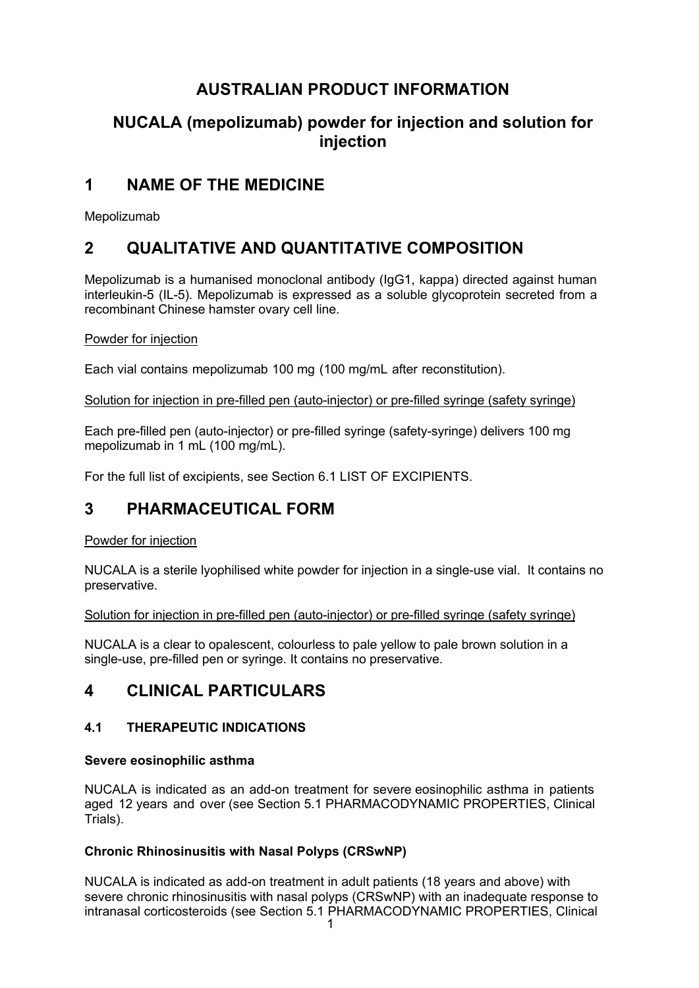# **AUSTRALIAN PRODUCT INFORMATION**

# **NUCALA (mepolizumab) powder for injection and solution for injection**

# **1 NAME OF THE MEDICINE**

Mepolizumab

# **2 QUALITATIVE AND QUANTITATIVE COMPOSITION**

Mepolizumab is a humanised monoclonal antibody (IgG1, kappa) directed against human interleukin-5 (IL-5). Mepolizumab is expressed as a soluble glycoprotein secreted from a recombinant Chinese hamster ovary cell line.

## Powder for injection

Each vial contains mepolizumab 100 mg (100 mg/mL after reconstitution).

Solution for injection in pre-filled pen (auto-injector) or pre-filled syringe (safety syringe)

Each pre-filled pen (auto-injector) or pre-filled syringe (safety-syringe) delivers 100 mg mepolizumab in 1 mL (100 mg/mL).

For the full list of excipients, see Section 6.1 LIST OF EXCIPIENTS.

# **3 PHARMACEUTICAL FORM**

#### Powder for injection

NUCALA is a sterile lyophilised white powder for injection in a single-use vial. It contains no preservative.

Solution for injection in pre-filled pen (auto-injector) or pre-filled syringe (safety syringe)

NUCALA is a clear to opalescent, colourless to pale yellow to pale brown solution in a single-use, pre-filled pen or syringe. It contains no preservative.

# **4 CLINICAL PARTICULARS**

## **4.1 THERAPEUTIC INDICATIONS**

## **Severe eosinophilic asthma**

NUCALA is indicated as an add-on treatment for severe eosinophilic asthma in patients aged 12 years and over (see Section 5.1 PHARMACODYNAMIC PROPERTIES, Clinical Trials).

## **Chronic Rhinosinusitis with Nasal Polyps (CRSwNP)**

NUCALA is indicated as add-on treatment in adult patients (18 years and above) with severe chronic rhinosinusitis with nasal polyps (CRSwNP) with an inadequate response to intranasal corticosteroids (see Section 5.1 PHARMACODYNAMIC PROPERTIES, Clinical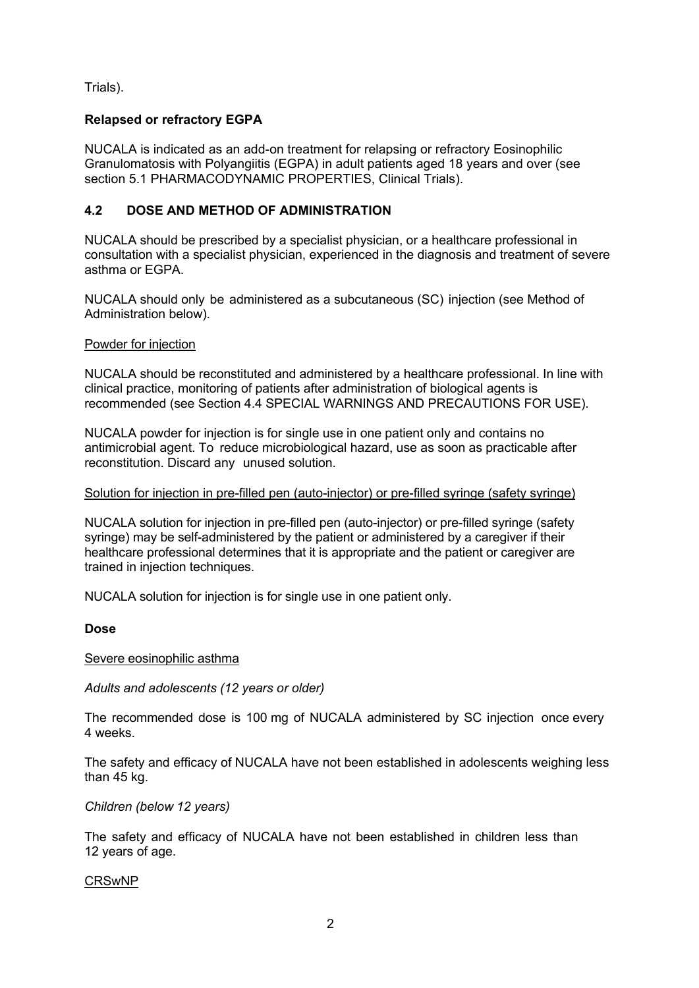Trials).

## **Relapsed or refractory EGPA**

NUCALA is indicated as an add-on treatment for relapsing or refractory Eosinophilic Granulomatosis with Polyangiitis (EGPA) in adult patients aged 18 years and over (see section 5.1 PHARMACODYNAMIC PROPERTIES, Clinical Trials).

## **4.2 DOSE AND METHOD OF ADMINISTRATION**

NUCALA should be prescribed by a specialist physician, or a healthcare professional in consultation with a specialist physician, experienced in the diagnosis and treatment of severe asthma or EGPA.

NUCALA should only be administered as a subcutaneous (SC) injection (see Method of Administration below).

## Powder for injection

NUCALA should be reconstituted and administered by a healthcare professional. In line with clinical practice, monitoring of patients after administration of biological agents is recommended (see Section 4.4 SPECIAL WARNINGS AND PRECAUTIONS FOR USE).

NUCALA powder for injection is for single use in one patient only and contains no antimicrobial agent. To reduce microbiological hazard, use as soon as practicable after reconstitution. Discard any unused solution.

#### Solution for injection in pre-filled pen (auto-injector) or pre-filled syringe (safety syringe)

NUCALA solution for injection in pre-filled pen (auto-injector) or pre-filled syringe (safety syringe) may be self-administered by the patient or administered by a caregiver if their healthcare professional determines that it is appropriate and the patient or caregiver are trained in injection techniques.

NUCALA solution for injection is for single use in one patient only.

#### **Dose**

#### Severe eosinophilic asthma

*Adults and adolescents (12 years or older)* 

The recommended dose is 100 mg of NUCALA administered by SC injection once every 4 weeks.

The safety and efficacy of NUCALA have not been established in adolescents weighing less than 45 kg.

#### *Children (below 12 years)*

The safety and efficacy of NUCALA have not been established in children less than 12 years of age.

#### CRSwNP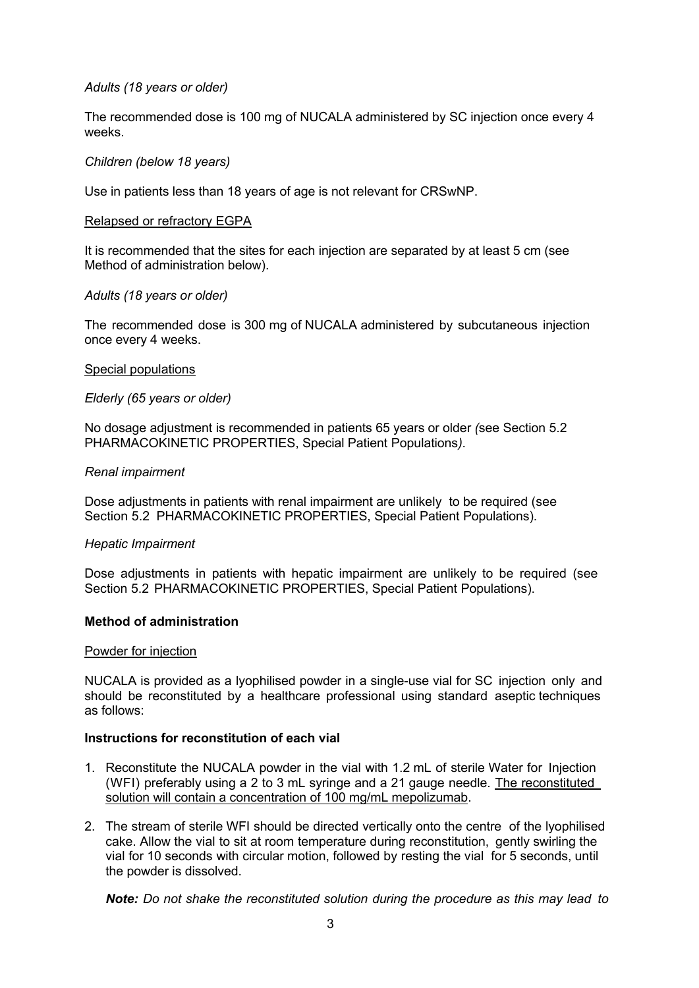#### *Adults (18 years or older)*

The recommended dose is 100 mg of NUCALA administered by SC injection once every 4 weeks.

#### *Children (below 18 years)*

Use in patients less than 18 years of age is not relevant for CRSwNP.

#### Relapsed or refractory EGPA

It is recommended that the sites for each injection are separated by at least 5 cm (see Method of administration below).

#### *Adults (18 years or older)*

The recommended dose is 300 mg of NUCALA administered by subcutaneous injection once every 4 weeks.

#### Special populations

#### *Elderly (65 years or older)*

No dosage adjustment is recommended in patients 65 years or older *(*see Section 5.2 PHARMACOKINETIC PROPERTIES, Special Patient Populations*)*.

#### *Renal impairment*

Dose adjustments in patients with renal impairment are unlikely to be required (see Section 5.2 PHARMACOKINETIC PROPERTIES, Special Patient Populations).

#### *Hepatic Impairment*

Dose adjustments in patients with hepatic impairment are unlikely to be required (see Section 5.2 PHARMACOKINETIC PROPERTIES, Special Patient Populations).

#### **Method of administration**

#### Powder for injection

NUCALA is provided as a lyophilised powder in a single-use vial for SC injection only and should be reconstituted by a healthcare professional using standard aseptic techniques as follows:

#### **Instructions for reconstitution of each vial**

- 1. Reconstitute the NUCALA powder in the vial with 1.2 mL of sterile Water for Injection (WFI) preferably using a 2 to 3 mL syringe and a 21 gauge needle. The reconstituted solution will contain a concentration of 100 mg/mL mepolizumab.
- 2. The stream of sterile WFI should be directed vertically onto the centre of the lyophilised cake. Allow the vial to sit at room temperature during reconstitution, gently swirling the vial for 10 seconds with circular motion, followed by resting the vial for 5 seconds, until the powder is dissolved.

*Note: Do not shake the reconstituted solution during the procedure as this may lead to*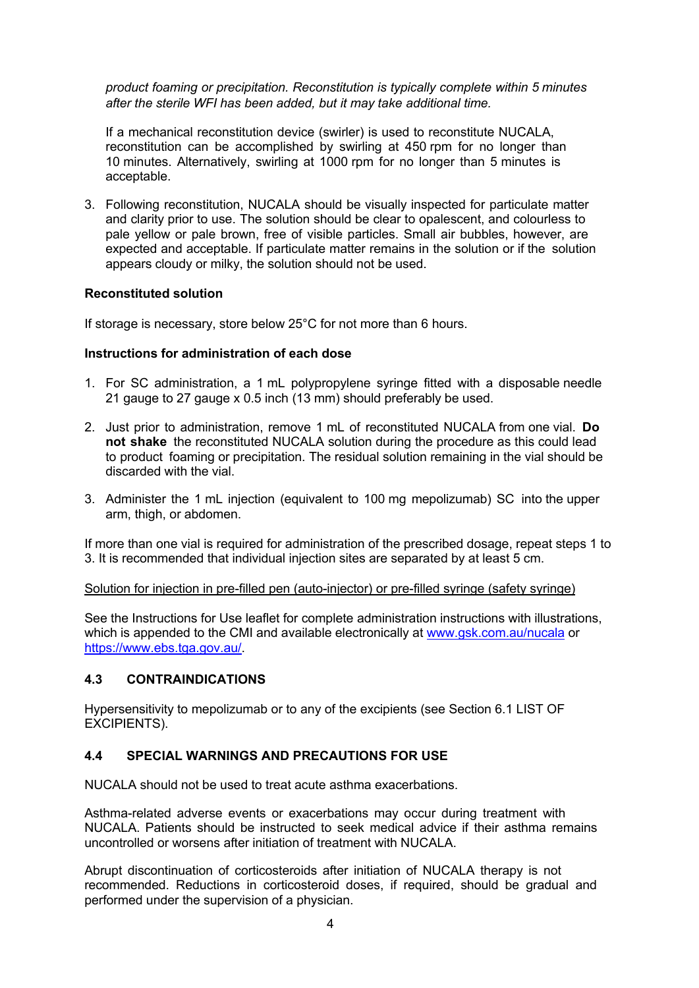*product foaming or precipitation. Reconstitution is typically complete within 5 minutes after the sterile WFI has been added, but it may take additional time.*

If a mechanical reconstitution device (swirler) is used to reconstitute NUCALA, reconstitution can be accomplished by swirling at 450 rpm for no longer than 10 minutes. Alternatively, swirling at 1000 rpm for no longer than 5 minutes is acceptable.

3. Following reconstitution, NUCALA should be visually inspected for particulate matter and clarity prior to use. The solution should be clear to opalescent, and colourless to pale yellow or pale brown, free of visible particles. Small air bubbles, however, are expected and acceptable. If particulate matter remains in the solution or if the solution appears cloudy or milky, the solution should not be used.

#### **Reconstituted solution**

If storage is necessary, store below 25°C for not more than 6 hours.

#### **Instructions for administration of each dose**

- 1. For SC administration, a 1 mL polypropylene syringe fitted with a disposable needle 21 gauge to 27 gauge x 0.5 inch (13 mm) should preferably be used.
- 2. Just prior to administration, remove 1 mL of reconstituted NUCALA from one vial. **Do not shake** the reconstituted NUCALA solution during the procedure as this could lead to product foaming or precipitation. The residual solution remaining in the vial should be discarded with the vial.
- 3. Administer the 1 mL injection (equivalent to 100 mg mepolizumab) SC into the upper arm, thigh, or abdomen.

If more than one vial is required for administration of the prescribed dosage, repeat steps 1 to 3. It is recommended that individual injection sites are separated by at least 5 cm.

#### Solution for injection in pre-filled pen (auto-injector) or pre-filled syringe (safety syringe)

See the Instructions for Use leaflet for complete administration instructions with illustrations, which is appended to the CMI and available electronically at www.gsk.com.au/nucala or https://www.ebs.tga.gov.au/.

#### **4.3 CONTRAINDICATIONS**

Hypersensitivity to mepolizumab or to any of the excipients (see Section 6.1 LIST OF EXCIPIENTS).

#### **4.4 SPECIAL WARNINGS AND PRECAUTIONS FOR USE**

NUCALA should not be used to treat acute asthma exacerbations.

Asthma-related adverse events or exacerbations may occur during treatment with NUCALA. Patients should be instructed to seek medical advice if their asthma remains uncontrolled or worsens after initiation of treatment with NUCALA.

Abrupt discontinuation of corticosteroids after initiation of NUCALA therapy is not recommended. Reductions in corticosteroid doses, if required, should be gradual and performed under the supervision of a physician.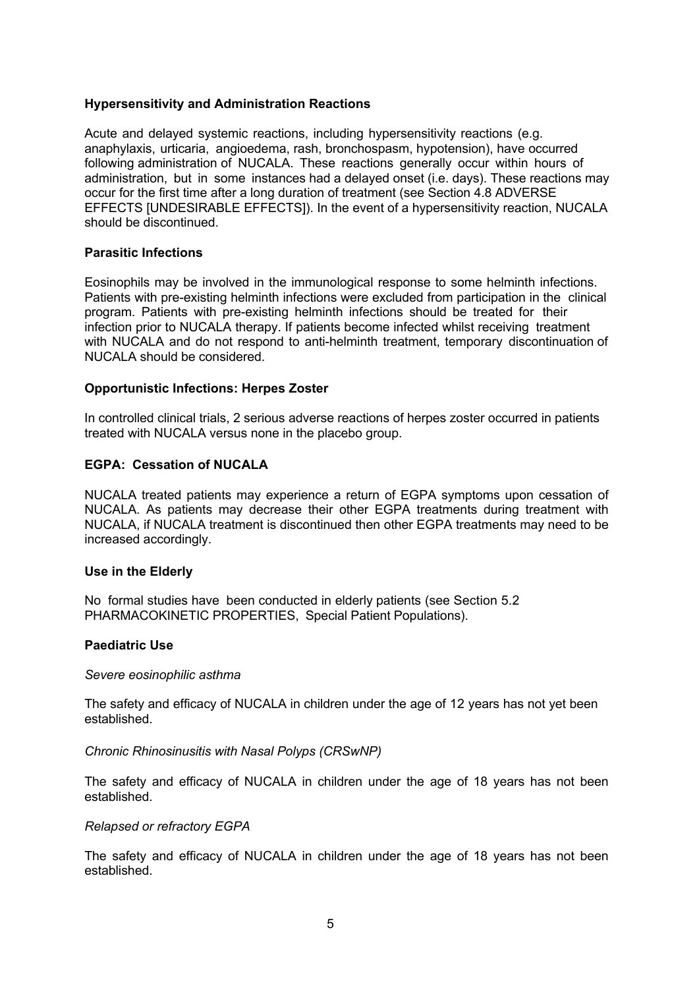#### **Hypersensitivity and Administration Reactions**

Acute and delayed systemic reactions, including hypersensitivity reactions (e.g. anaphylaxis, urticaria, angioedema, rash, bronchospasm, hypotension), have occurred following administration of NUCALA. These reactions generally occur within hours of administration, but in some instances had a delayed onset (i.e. days). These reactions may occur for the first time after a long duration of treatment (see Section 4.8 ADVERSE EFFECTS [UNDESIRABLE EFFECTS]). In the event of a hypersensitivity reaction, NUCALA should be discontinued.

#### **Parasitic Infections**

Eosinophils may be involved in the immunological response to some helminth infections. Patients with pre-existing helminth infections were excluded from participation in the clinical program. Patients with pre-existing helminth infections should be treated for their infection prior to NUCALA therapy. If patients become infected whilst receiving treatment with NUCALA and do not respond to anti-helminth treatment, temporary discontinuation of NUCALA should be considered.

#### **Opportunistic Infections: Herpes Zoster**

In controlled clinical trials, 2 serious adverse reactions of herpes zoster occurred in patients treated with NUCALA versus none in the placebo group.

#### **EGPA: Cessation of NUCALA**

NUCALA treated patients may experience a return of EGPA symptoms upon cessation of NUCALA. As patients may decrease their other EGPA treatments during treatment with NUCALA, if NUCALA treatment is discontinued then other EGPA treatments may need to be increased accordingly.

#### **Use in the Elderly**

No formal studies have been conducted in elderly patients (see Section 5.2 PHARMACOKINETIC PROPERTIES, Special Patient Populations).

#### **Paediatric Use**

#### *Severe eosinophilic asthma*

The safety and efficacy of NUCALA in children under the age of 12 years has not yet been established.

*Chronic Rhinosinusitis with Nasal Polyps (CRSwNP)* 

The safety and efficacy of NUCALA in children under the age of 18 years has not been established.

#### *Relapsed or refractory EGPA*

The safety and efficacy of NUCALA in children under the age of 18 years has not been established.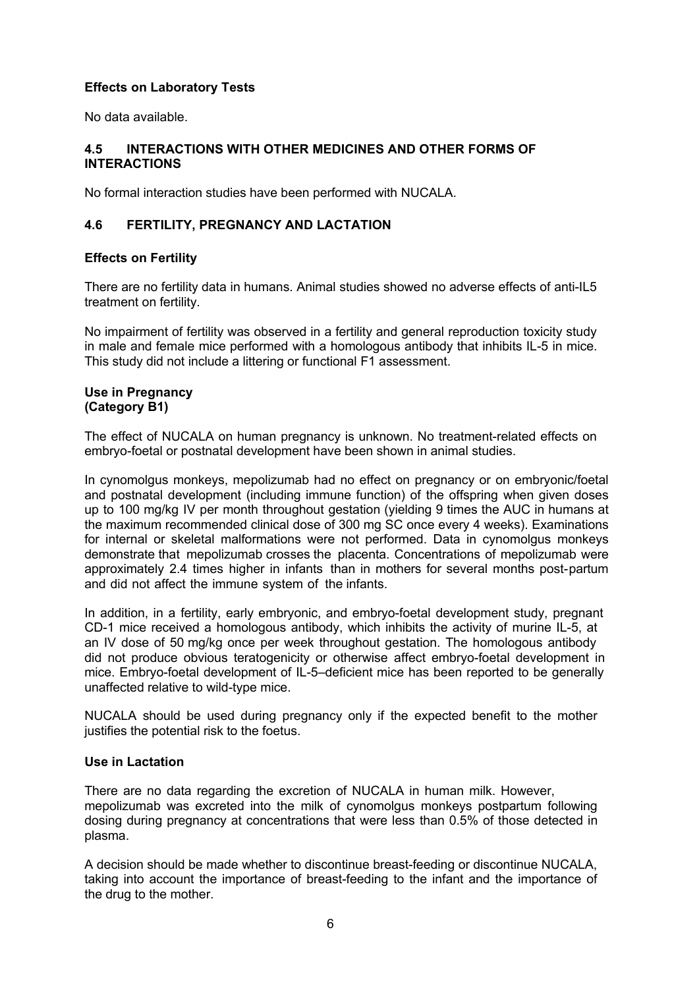## **Effects on Laboratory Tests**

No data available.

#### **4.5 INTERACTIONS WITH OTHER MEDICINES AND OTHER FORMS OF INTERACTIONS**

No formal interaction studies have been performed with NUCALA.

## **4.6 FERTILITY, PREGNANCY AND LACTATION**

#### **Effects on Fertility**

There are no fertility data in humans. Animal studies showed no adverse effects of anti-IL5 treatment on fertility.

No impairment of fertility was observed in a fertility and general reproduction toxicity study in male and female mice performed with a homologous antibody that inhibits IL-5 in mice. This study did not include a littering or functional F1 assessment.

#### **Use in Pregnancy (Category B1)**

The effect of NUCALA on human pregnancy is unknown. No treatment-related effects on embryo-foetal or postnatal development have been shown in animal studies.

In cynomolgus monkeys, mepolizumab had no effect on pregnancy or on embryonic/foetal and postnatal development (including immune function) of the offspring when given doses up to 100 mg/kg IV per month throughout gestation (yielding 9 times the AUC in humans at the maximum recommended clinical dose of 300 mg SC once every 4 weeks). Examinations for internal or skeletal malformations were not performed. Data in cynomolgus monkeys demonstrate that mepolizumab crosses the placenta. Concentrations of mepolizumab were approximately 2.4 times higher in infants than in mothers for several months post-partum and did not affect the immune system of the infants.

In addition, in a fertility, early embryonic, and embryo-foetal development study, pregnant CD-1 mice received a homologous antibody, which inhibits the activity of murine IL-5, at an IV dose of 50 mg/kg once per week throughout gestation. The homologous antibody did not produce obvious teratogenicity or otherwise affect embryo-foetal development in mice. Embryo-foetal development of IL-5–deficient mice has been reported to be generally unaffected relative to wild-type mice.

NUCALA should be used during pregnancy only if the expected benefit to the mother justifies the potential risk to the foetus.

#### **Use in Lactation**

There are no data regarding the excretion of NUCALA in human milk. However, mepolizumab was excreted into the milk of cynomolgus monkeys postpartum following dosing during pregnancy at concentrations that were less than 0.5% of those detected in plasma.

A decision should be made whether to discontinue breast-feeding or discontinue NUCALA, taking into account the importance of breast-feeding to the infant and the importance of the drug to the mother.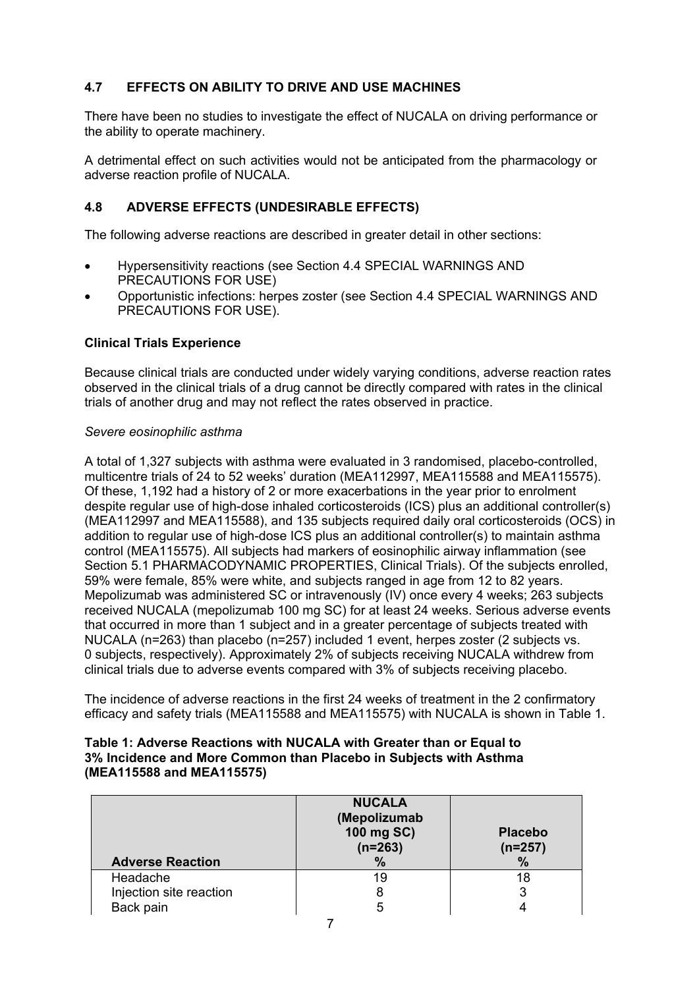## **4.7 EFFECTS ON ABILITY TO DRIVE AND USE MACHINES**

There have been no studies to investigate the effect of NUCALA on driving performance or the ability to operate machinery.

A detrimental effect on such activities would not be anticipated from the pharmacology or adverse reaction profile of NUCALA.

## **4.8 ADVERSE EFFECTS (UNDESIRABLE EFFECTS)**

The following adverse reactions are described in greater detail in other sections:

- Hypersensitivity reactions (see Section 4.4 SPECIAL WARNINGS AND PRECAUTIONS FOR USE)
- Opportunistic infections: herpes zoster (see Section 4.4 SPECIAL WARNINGS AND PRECAUTIONS FOR USE).

## **Clinical Trials Experience**

Because clinical trials are conducted under widely varying conditions, adverse reaction rates observed in the clinical trials of a drug cannot be directly compared with rates in the clinical trials of another drug and may not reflect the rates observed in practice.

#### *Severe eosinophilic asthma*

A total of 1,327 subjects with asthma were evaluated in 3 randomised, placebo-controlled, multicentre trials of 24 to 52 weeks' duration (MEA112997, MEA115588 and MEA115575). Of these, 1,192 had a history of 2 or more exacerbations in the year prior to enrolment despite regular use of high-dose inhaled corticosteroids (ICS) plus an additional controller(s) (MEA112997 and MEA115588), and 135 subjects required daily oral corticosteroids (OCS) in addition to regular use of high-dose ICS plus an additional controller(s) to maintain asthma control (MEA115575). All subjects had markers of eosinophilic airway inflammation (see Section 5.1 PHARMACODYNAMIC PROPERTIES, Clinical Trials). Of the subjects enrolled, 59% were female, 85% were white, and subjects ranged in age from 12 to 82 years. Mepolizumab was administered SC or intravenously (IV) once every 4 weeks; 263 subjects received NUCALA (mepolizumab 100 mg SC) for at least 24 weeks. Serious adverse events that occurred in more than 1 subject and in a greater percentage of subjects treated with NUCALA (n=263) than placebo (n=257) included 1 event, herpes zoster (2 subjects vs. 0 subjects, respectively). Approximately 2% of subjects receiving NUCALA withdrew from clinical trials due to adverse events compared with 3% of subjects receiving placebo.

The incidence of adverse reactions in the first 24 weeks of treatment in the 2 confirmatory efficacy and safety trials (MEA115588 and MEA115575) with NUCALA is shown in Table 1.

#### **Table 1: Adverse Reactions with NUCALA with Greater than or Equal to 3% Incidence and More Common than Placebo in Subjects with Asthma (MEA115588 and MEA115575)**

| <b>Adverse Reaction</b> | <b>NUCALA</b><br>(Mepolizumab<br>100 mg SC)<br>$(n=263)$<br>$\%$ | <b>Placebo</b><br>$(n=257)$<br>$\%$ |
|-------------------------|------------------------------------------------------------------|-------------------------------------|
| Headache                | 19                                                               | 18                                  |
| Injection site reaction |                                                                  | 3                                   |
| Back pain               |                                                                  |                                     |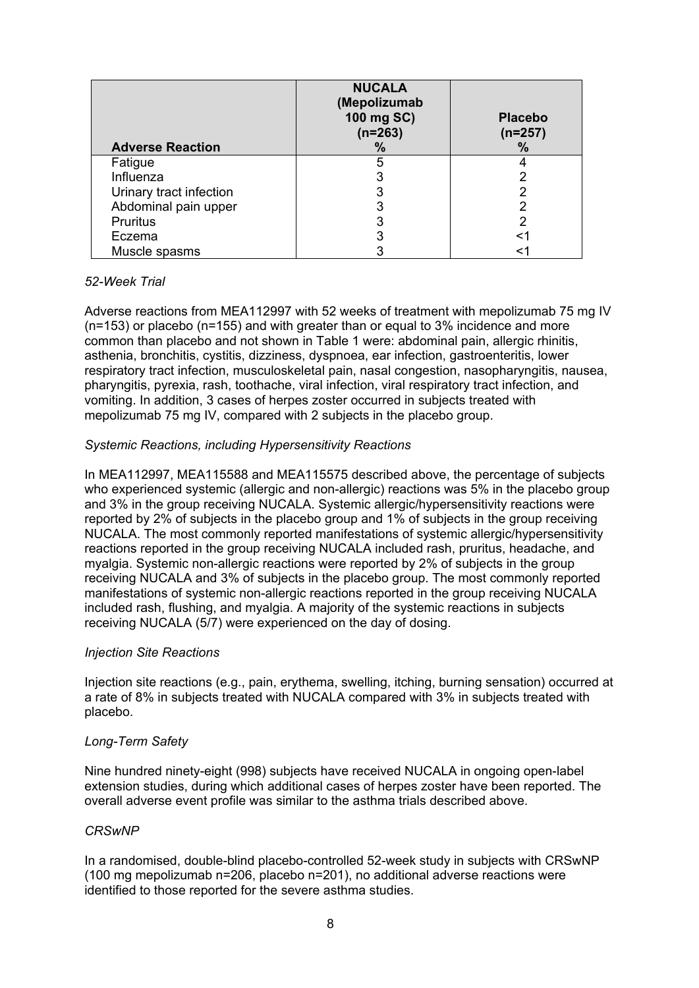| <b>Adverse Reaction</b> | <b>NUCALA</b><br>(Mepolizumab<br>100 mg SC)<br>$(n=263)$<br>% | <b>Placebo</b><br>$(n=257)$<br>% |
|-------------------------|---------------------------------------------------------------|----------------------------------|
| Fatigue                 |                                                               |                                  |
| Influenza               |                                                               |                                  |
| Urinary tract infection |                                                               |                                  |
| Abdominal pain upper    |                                                               |                                  |
| <b>Pruritus</b>         |                                                               |                                  |
| Eczema                  |                                                               | <1                               |
| Muscle spasms           |                                                               |                                  |

#### *52-Week Trial*

Adverse reactions from MEA112997 with 52 weeks of treatment with mepolizumab 75 mg IV (n=153) or placebo (n=155) and with greater than or equal to 3% incidence and more common than placebo and not shown in Table 1 were: abdominal pain, allergic rhinitis, asthenia, bronchitis, cystitis, dizziness, dyspnoea, ear infection, gastroenteritis, lower respiratory tract infection, musculoskeletal pain, nasal congestion, nasopharyngitis, nausea, pharyngitis, pyrexia, rash, toothache, viral infection, viral respiratory tract infection, and vomiting. In addition, 3 cases of herpes zoster occurred in subjects treated with mepolizumab 75 mg IV, compared with 2 subjects in the placebo group.

#### *Systemic Reactions, including Hypersensitivity Reactions*

In MEA112997, MEA115588 and MEA115575 described above, the percentage of subjects who experienced systemic (allergic and non-allergic) reactions was 5% in the placebo group and 3% in the group receiving NUCALA. Systemic allergic/hypersensitivity reactions were reported by 2% of subjects in the placebo group and 1% of subjects in the group receiving NUCALA. The most commonly reported manifestations of systemic allergic/hypersensitivity reactions reported in the group receiving NUCALA included rash, pruritus, headache, and myalgia. Systemic non-allergic reactions were reported by 2% of subjects in the group receiving NUCALA and 3% of subjects in the placebo group. The most commonly reported manifestations of systemic non-allergic reactions reported in the group receiving NUCALA included rash, flushing, and myalgia. A majority of the systemic reactions in subjects receiving NUCALA (5/7) were experienced on the day of dosing.

#### *Injection Site Reactions*

Injection site reactions (e.g., pain, erythema, swelling, itching, burning sensation) occurred at a rate of 8% in subjects treated with NUCALA compared with 3% in subjects treated with placebo.

#### *Long-Term Safety*

Nine hundred ninety-eight (998) subjects have received NUCALA in ongoing open-label extension studies, during which additional cases of herpes zoster have been reported. The overall adverse event profile was similar to the asthma trials described above.

#### *CRSwNP*

In a randomised, double-blind placebo-controlled 52-week study in subjects with CRSwNP (100 mg mepolizumab n=206, placebo n=201), no additional adverse reactions were identified to those reported for the severe asthma studies.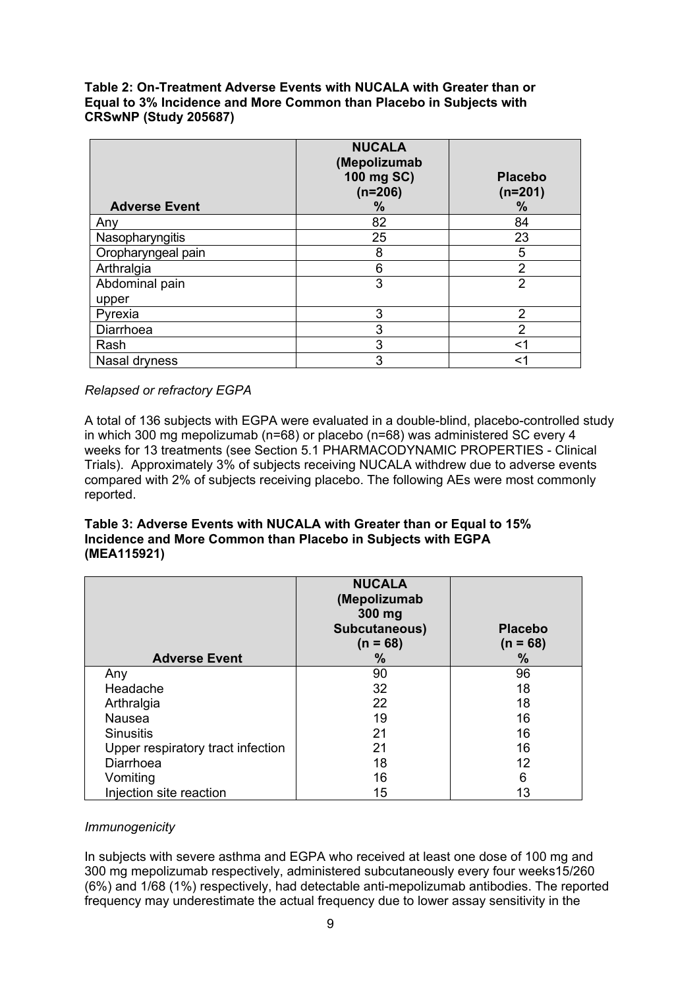**Table 2: On-Treatment Adverse Events with NUCALA with Greater than or Equal to 3% Incidence and More Common than Placebo in Subjects with CRSwNP (Study 205687)** 

|                      | <b>NUCALA</b><br>(Mepolizumab<br>100 mg SC)<br>$(n=206)$ | <b>Placebo</b><br>$(n=201)$ |
|----------------------|----------------------------------------------------------|-----------------------------|
| <b>Adverse Event</b> | %                                                        | %                           |
| Any                  | 82                                                       | 84                          |
| Nasopharyngitis      | 25                                                       | 23                          |
| Oropharyngeal pain   | 8                                                        | 5                           |
| Arthralgia           | 6                                                        | $\overline{2}$              |
| Abdominal pain       | 3                                                        | 2                           |
| upper                |                                                          |                             |
| Pyrexia              | 3                                                        | $\mathcal{P}$               |
| Diarrhoea            | 3                                                        | 2                           |
| Rash                 | 3                                                        | <1                          |
| Nasal dryness        | 3                                                        | <1                          |

*Relapsed or refractory EGPA* 

A total of 136 subjects with EGPA were evaluated in a double-blind, placebo-controlled study in which 300 mg mepolizumab (n=68) or placebo (n=68) was administered SC every 4 weeks for 13 treatments (see Section 5.1 PHARMACODYNAMIC PROPERTIES - Clinical Trials). Approximately 3% of subjects receiving NUCALA withdrew due to adverse events compared with 2% of subjects receiving placebo. The following AEs were most commonly reported.

#### **Table 3: Adverse Events with NUCALA with Greater than or Equal to 15% Incidence and More Common than Placebo in Subjects with EGPA (MEA115921)**

| <b>Adverse Event</b>              | <b>NUCALA</b><br>(Mepolizumab<br>300 mg<br>Subcutaneous)<br>$(n = 68)$<br>% | <b>Placebo</b><br>$(n = 68)$<br>$\%$ |
|-----------------------------------|-----------------------------------------------------------------------------|--------------------------------------|
| Any                               | 90                                                                          | 96                                   |
| Headache                          | 32                                                                          | 18                                   |
| Arthralgia                        | 22                                                                          | 18                                   |
| <b>Nausea</b>                     | 19                                                                          | 16                                   |
| <b>Sinusitis</b>                  | 21                                                                          | 16                                   |
| Upper respiratory tract infection | 21                                                                          | 16                                   |
| Diarrhoea                         | 18                                                                          | 12                                   |
| Vomiting                          | 16                                                                          | 6                                    |
| Injection site reaction           | 15                                                                          | 13                                   |

#### *Immunogenicity*

In subjects with severe asthma and EGPA who received at least one dose of 100 mg and 300 mg mepolizumab respectively, administered subcutaneously every four weeks15/260 (6%) and 1/68 (1%) respectively, had detectable anti-mepolizumab antibodies. The reported frequency may underestimate the actual frequency due to lower assay sensitivity in the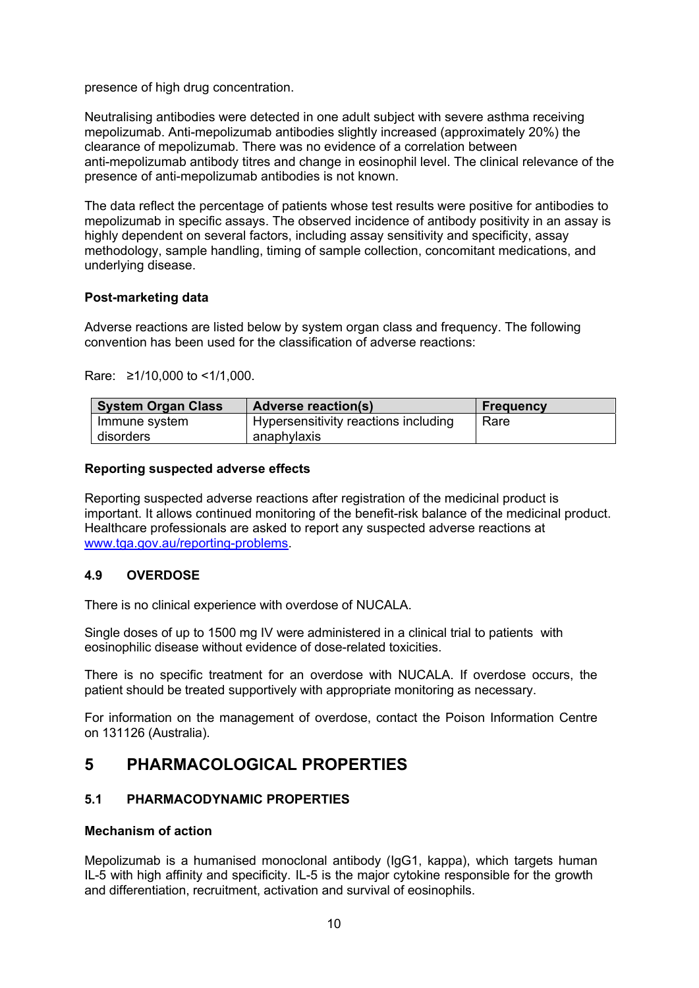presence of high drug concentration.

Neutralising antibodies were detected in one adult subject with severe asthma receiving mepolizumab. Anti-mepolizumab antibodies slightly increased (approximately 20%) the clearance of mepolizumab. There was no evidence of a correlation between anti-mepolizumab antibody titres and change in eosinophil level. The clinical relevance of the presence of anti-mepolizumab antibodies is not known.

The data reflect the percentage of patients whose test results were positive for antibodies to mepolizumab in specific assays. The observed incidence of antibody positivity in an assay is highly dependent on several factors, including assay sensitivity and specificity, assay methodology, sample handling, timing of sample collection, concomitant medications, and underlying disease.

#### **Post-marketing data**

Adverse reactions are listed below by system organ class and frequency. The following convention has been used for the classification of adverse reactions:

Rare: ≥1/10,000 to <1/1,000.

| <b>System Organ Class</b> | <b>Adverse reaction(s)</b>           | <b>Frequency</b> |
|---------------------------|--------------------------------------|------------------|
| Immune system             | Hypersensitivity reactions including | Rare             |
| disorders                 | anaphylaxis                          |                  |

#### **Reporting suspected adverse effects**

Reporting suspected adverse reactions after registration of the medicinal product is important. It allows continued monitoring of the benefit-risk balance of the medicinal product. Healthcare professionals are asked to report any suspected adverse reactions at www.tga.gov.au/reporting-problems.

#### **4.9 OVERDOSE**

There is no clinical experience with overdose of NUCALA.

Single doses of up to 1500 mg IV were administered in a clinical trial to patients with eosinophilic disease without evidence of dose-related toxicities.

There is no specific treatment for an overdose with NUCALA. If overdose occurs, the patient should be treated supportively with appropriate monitoring as necessary.

For information on the management of overdose, contact the Poison Information Centre on 131126 (Australia).

## **5 PHARMACOLOGICAL PROPERTIES**

#### **5.1 PHARMACODYNAMIC PROPERTIES**

#### **Mechanism of action**

Mepolizumab is a humanised monoclonal antibody (IgG1, kappa), which targets human IL-5 with high affinity and specificity. IL-5 is the major cytokine responsible for the growth and differentiation, recruitment, activation and survival of eosinophils.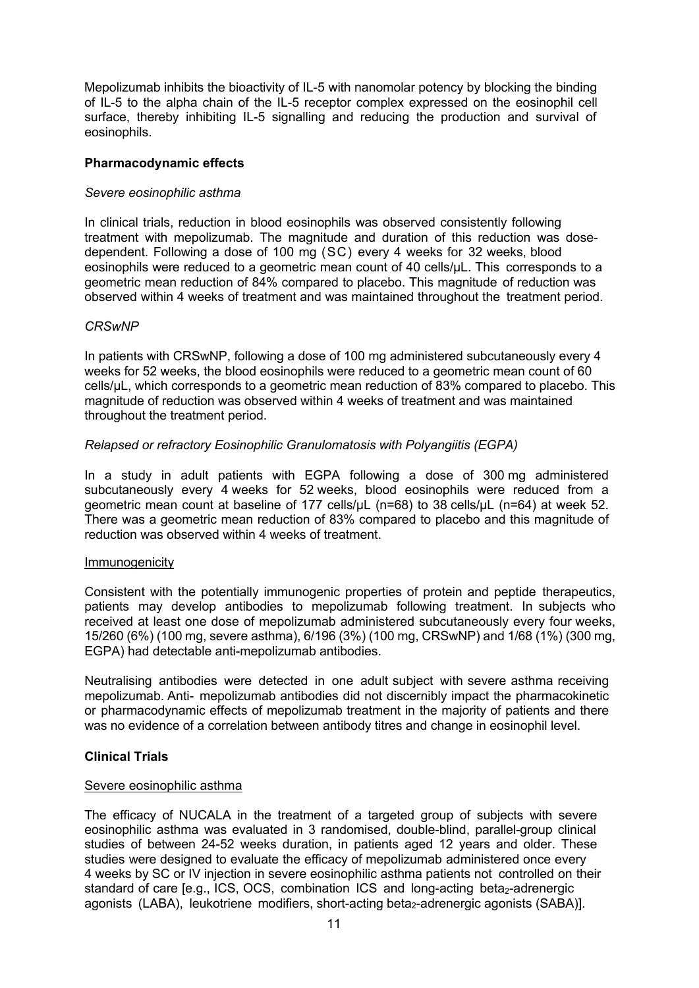Mepolizumab inhibits the bioactivity of IL-5 with nanomolar potency by blocking the binding of IL-5 to the alpha chain of the IL-5 receptor complex expressed on the eosinophil cell surface, thereby inhibiting IL-5 signalling and reducing the production and survival of eosinophils.

#### **Pharmacodynamic effects**

#### *Severe eosinophilic asthma*

In clinical trials, reduction in blood eosinophils was observed consistently following treatment with mepolizumab. The magnitude and duration of this reduction was dosedependent. Following a dose of 100 mg (SC) every 4 weeks for 32 weeks, blood eosinophils were reduced to a geometric mean count of 40 cells/µL. This corresponds to a geometric mean reduction of 84% compared to placebo. This magnitude of reduction was observed within 4 weeks of treatment and was maintained throughout the treatment period.

#### *CRSwNP*

In patients with CRSwNP, following a dose of 100 mg administered subcutaneously every 4 weeks for 52 weeks, the blood eosinophils were reduced to a geometric mean count of 60 cells/µL, which corresponds to a geometric mean reduction of 83% compared to placebo. This magnitude of reduction was observed within 4 weeks of treatment and was maintained throughout the treatment period.

#### *Relapsed or refractory Eosinophilic Granulomatosis with Polyangiitis (EGPA)*

In a study in adult patients with EGPA following a dose of 300 mg administered subcutaneously every 4 weeks for 52 weeks, blood eosinophils were reduced from a geometric mean count at baseline of 177 cells/μL (n=68) to 38 cells/μL (n=64) at week 52. There was a geometric mean reduction of 83% compared to placebo and this magnitude of reduction was observed within 4 weeks of treatment.

#### Immunogenicity

Consistent with the potentially immunogenic properties of protein and peptide therapeutics, patients may develop antibodies to mepolizumab following treatment. In subjects who received at least one dose of mepolizumab administered subcutaneously every four weeks, 15/260 (6%) (100 mg, severe asthma), 6/196 (3%) (100 mg, CRSwNP) and 1/68 (1%) (300 mg, EGPA) had detectable anti-mepolizumab antibodies.

Neutralising antibodies were detected in one adult subject with severe asthma receiving mepolizumab. Anti- mepolizumab antibodies did not discernibly impact the pharmacokinetic or pharmacodynamic effects of mepolizumab treatment in the majority of patients and there was no evidence of a correlation between antibody titres and change in eosinophil level.

#### **Clinical Trials**

#### Severe eosinophilic asthma

The efficacy of NUCALA in the treatment of a targeted group of subjects with severe eosinophilic asthma was evaluated in 3 randomised, double-blind, parallel-group clinical studies of between 24-52 weeks duration, in patients aged 12 years and older. These studies were designed to evaluate the efficacy of mepolizumab administered once every 4 weeks by SC or IV injection in severe eosinophilic asthma patients not controlled on their standard of care [e.g., ICS, OCS, combination ICS and long-acting beta<sub>2</sub>-adrenergic agonists (LABA), leukotriene modifiers, short-acting beta<sub>2</sub>-adrenergic agonists (SABA)].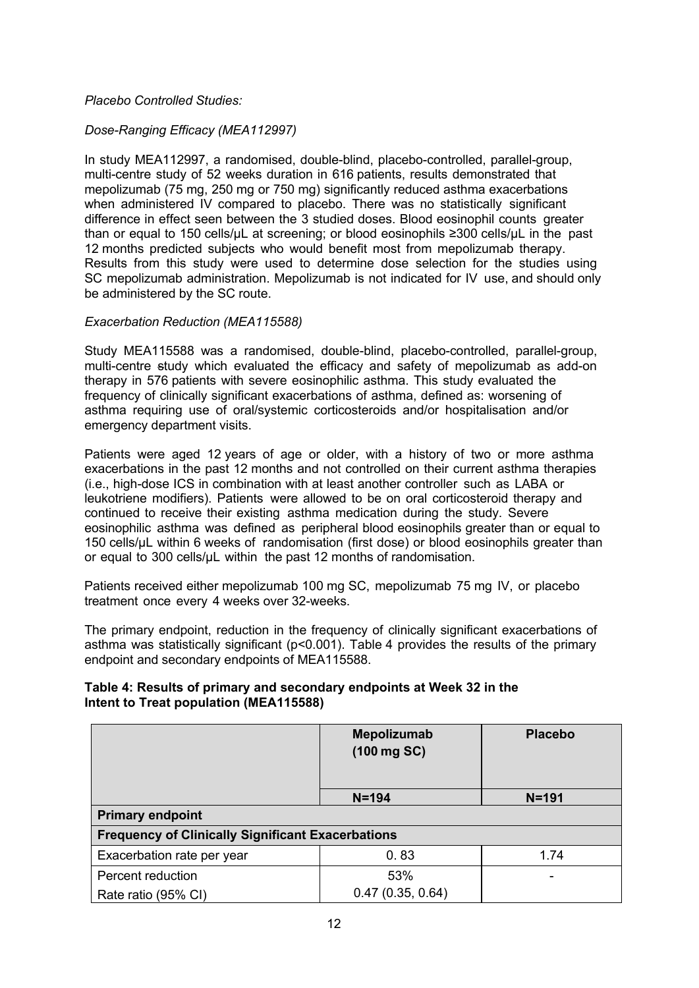#### *Placebo Controlled Studies:*

#### *Dose-Ranging Efficacy (MEA112997)*

In study MEA112997, a randomised, double-blind, placebo-controlled, parallel-group, multi-centre study of 52 weeks duration in 616 patients, results demonstrated that mepolizumab (75 mg, 250 mg or 750 mg) significantly reduced asthma exacerbations when administered IV compared to placebo. There was no statistically significant difference in effect seen between the 3 studied doses. Blood eosinophil counts greater than or equal to 150 cells/µL at screening; or blood eosinophils ≥300 cells/µL in the past 12 months predicted subjects who would benefit most from mepolizumab therapy. Results from this study were used to determine dose selection for the studies using SC mepolizumab administration. Mepolizumab is not indicated for IV use, and should only be administered by the SC route.

#### *Exacerbation Reduction (MEA115588)*

Study MEA115588 was a randomised, double-blind, placebo-controlled, parallel-group, multi-centre study which evaluated the efficacy and safety of mepolizumab as add-on therapy in 576 patients with severe eosinophilic asthma. This study evaluated the frequency of clinically significant exacerbations of asthma, defined as: worsening of asthma requiring use of oral/systemic corticosteroids and/or hospitalisation and/or emergency department visits.

Patients were aged 12 years of age or older, with a history of two or more asthma exacerbations in the past 12 months and not controlled on their current asthma therapies (i.e., high-dose ICS in combination with at least another controller such as LABA or leukotriene modifiers). Patients were allowed to be on oral corticosteroid therapy and continued to receive their existing asthma medication during the study. Severe eosinophilic asthma was defined as peripheral blood eosinophils greater than or equal to 150 cells/µL within 6 weeks of randomisation (first dose) or blood eosinophils greater than or equal to 300 cells/μL within the past 12 months of randomisation.

Patients received either mepolizumab 100 mg SC, mepolizumab 75 mg IV, or placebo treatment once every 4 weeks over 32-weeks.

The primary endpoint, reduction in the frequency of clinically significant exacerbations of asthma was statistically significant ( $p<0.001$ ). Table 4 provides the results of the primary endpoint and secondary endpoints of MEA115588.

#### **Table 4: Results of primary and secondary endpoints at Week 32 in the Intent to Treat population (MEA115588)**

|                                                          | Mepolizumab<br>$(100 \text{ mg } SC)$ | <b>Placebo</b> |
|----------------------------------------------------------|---------------------------------------|----------------|
|                                                          | $N = 194$                             | $N = 191$      |
| <b>Primary endpoint</b>                                  |                                       |                |
| <b>Frequency of Clinically Significant Exacerbations</b> |                                       |                |
| Exacerbation rate per year                               | 0.83                                  | 1.74           |
| Percent reduction                                        | 53%                                   |                |
| Rate ratio (95% CI)                                      | 0.47(0.35, 0.64)                      |                |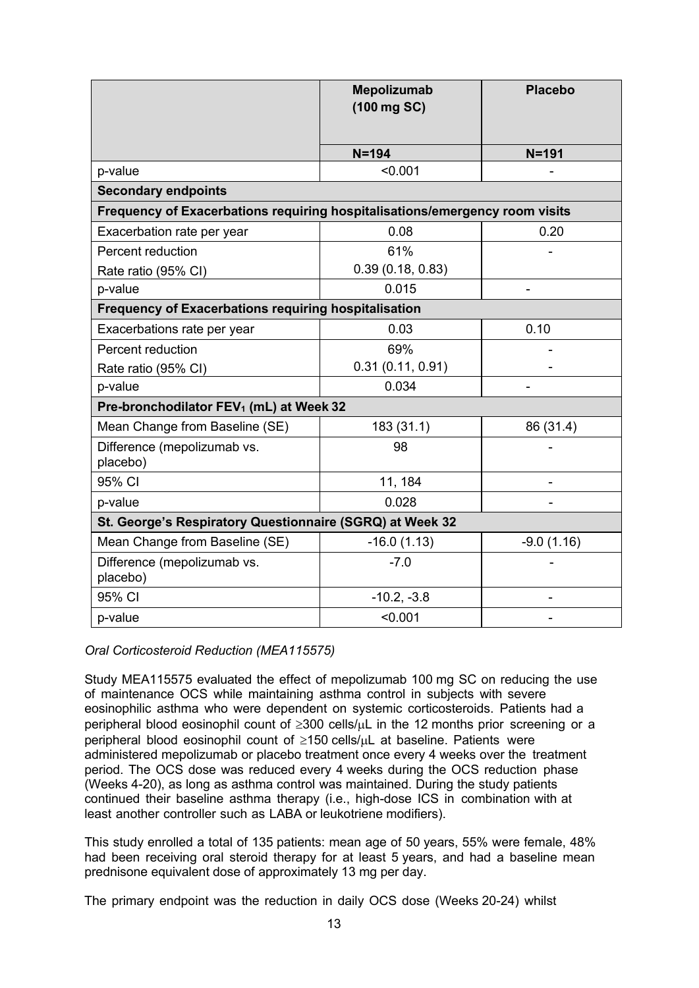|                                                                             | <b>Mepolizumab</b><br>(100 mg SC) | <b>Placebo</b> |
|-----------------------------------------------------------------------------|-----------------------------------|----------------|
|                                                                             | $N = 194$                         | $N = 191$      |
| p-value                                                                     | < 0.001                           |                |
| <b>Secondary endpoints</b>                                                  |                                   |                |
| Frequency of Exacerbations requiring hospitalisations/emergency room visits |                                   |                |
| Exacerbation rate per year                                                  | 0.08                              | 0.20           |
| Percent reduction                                                           | 61%                               |                |
| Rate ratio (95% CI)                                                         | 0.39(0.18, 0.83)                  |                |
| p-value                                                                     | 0.015                             |                |
| <b>Frequency of Exacerbations requiring hospitalisation</b>                 |                                   |                |
| Exacerbations rate per year                                                 | 0.03                              | 0.10           |
| Percent reduction                                                           | 69%                               |                |
| Rate ratio (95% CI)                                                         | 0.31(0.11, 0.91)                  |                |
| p-value                                                                     | 0.034                             | $\overline{a}$ |
| Pre-bronchodilator FEV <sub>1</sub> (mL) at Week 32                         |                                   |                |
| Mean Change from Baseline (SE)                                              | 183 (31.1)                        | 86 (31.4)      |
| Difference (mepolizumab vs.<br>placebo)                                     | 98                                |                |
| 95% CI                                                                      | 11, 184                           |                |
| p-value                                                                     | 0.028                             |                |
| St. George's Respiratory Questionnaire (SGRQ) at Week 32                    |                                   |                |
| Mean Change from Baseline (SE)                                              | $-16.0(1.13)$                     | $-9.0(1.16)$   |
| Difference (mepolizumab vs.<br>placebo)                                     | $-7.0$                            |                |
| 95% CI                                                                      | $-10.2, -3.8$                     |                |
| p-value                                                                     | < 0.001                           |                |

*Oral Corticosteroid Reduction (MEA115575)*

Study MEA115575 evaluated the effect of mepolizumab 100 mg SC on reducing the use of maintenance OCS while maintaining asthma control in subjects with severe eosinophilic asthma who were dependent on systemic corticosteroids. Patients had a peripheral blood eosinophil count of  $\geq 300$  cells/ $\mu$ L in the 12 months prior screening or a peripheral blood eosinophil count of  $\geq$ 150 cells/uL at baseline. Patients were administered mepolizumab or placebo treatment once every 4 weeks over the treatment period. The OCS dose was reduced every 4 weeks during the OCS reduction phase (Weeks 4-20), as long as asthma control was maintained. During the study patients continued their baseline asthma therapy (i.e., high-dose ICS in combination with at least another controller such as LABA or leukotriene modifiers).

This study enrolled a total of 135 patients: mean age of 50 years, 55% were female, 48% had been receiving oral steroid therapy for at least 5 years, and had a baseline mean prednisone equivalent dose of approximately 13 mg per day.

The primary endpoint was the reduction in daily OCS dose (Weeks 20-24) whilst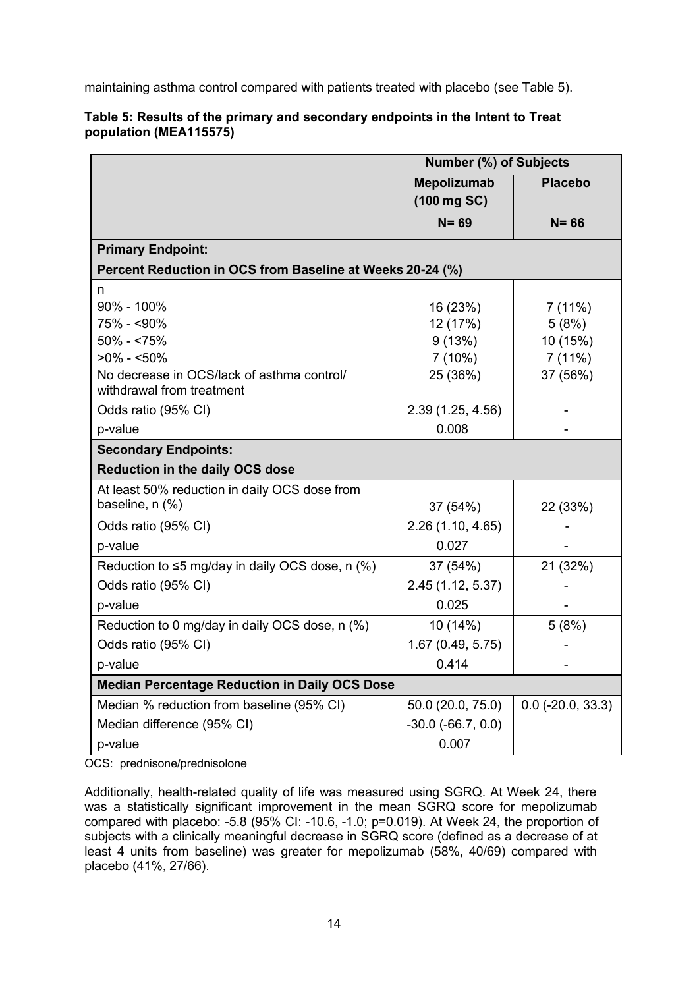maintaining asthma control compared with patients treated with placebo (see Table 5).

|                                                                         | <b>Number (%) of Subjects</b>     |                     |
|-------------------------------------------------------------------------|-----------------------------------|---------------------|
|                                                                         | <b>Mepolizumab</b><br>(100 mg SC) | <b>Placebo</b>      |
|                                                                         |                                   |                     |
|                                                                         | $N = 69$                          | $N = 66$            |
| <b>Primary Endpoint:</b>                                                |                                   |                     |
| Percent Reduction in OCS from Baseline at Weeks 20-24 (%)               |                                   |                     |
| n                                                                       |                                   |                     |
| 90% - 100%                                                              | 16 (23%)                          | 7(11%)              |
| 75% - <90%                                                              | 12 (17%)                          | 5(8%)               |
| $50\% - 575\%$                                                          | 9(13%)                            | 10 (15%)            |
| $>0\% - 50\%$                                                           | 7(10%)                            | 7(11%)              |
| No decrease in OCS/lack of asthma control/<br>withdrawal from treatment | 25 (36%)                          | 37 (56%)            |
| Odds ratio (95% CI)                                                     | 2.39 (1.25, 4.56)                 |                     |
| p-value                                                                 | 0.008                             |                     |
| <b>Secondary Endpoints:</b>                                             |                                   |                     |
| <b>Reduction in the daily OCS dose</b>                                  |                                   |                     |
| At least 50% reduction in daily OCS dose from                           |                                   |                     |
| baseline, n (%)                                                         | 37 (54%)                          | 22 (33%)            |
| Odds ratio (95% CI)                                                     | 2.26(1.10, 4.65)                  |                     |
| p-value                                                                 | 0.027                             |                     |
| Reduction to $\leq$ 5 mg/day in daily OCS dose, n (%)                   | 37 (54%)                          | 21 (32%)            |
| Odds ratio (95% CI)                                                     | 2.45 (1.12, 5.37)                 |                     |
| p-value                                                                 | 0.025                             |                     |
| Reduction to 0 mg/day in daily OCS dose, n (%)                          | 10 (14%)                          | 5(8%)               |
| Odds ratio (95% CI)                                                     | 1.67 (0.49, 5.75)                 |                     |
| p-value                                                                 | 0.414                             |                     |
| <b>Median Percentage Reduction in Daily OCS Dose</b>                    |                                   |                     |
| Median % reduction from baseline (95% CI)                               | 50.0 (20.0, 75.0)                 | $0.0$ (-20.0, 33.3) |
| Median difference (95% CI)                                              | $-30.0$ $(-66.7, 0.0)$            |                     |
| p-value                                                                 | 0.007                             |                     |

## **Table 5: Results of the primary and secondary endpoints in the Intent to Treat population (MEA115575)**

OCS: prednisone/prednisolone

Additionally, health-related quality of life was measured using SGRQ. At Week 24, there was a statistically significant improvement in the mean SGRQ score for mepolizumab compared with placebo: -5.8 (95% CI: -10.6, -1.0; p=0.019). At Week 24, the proportion of subjects with a clinically meaningful decrease in SGRQ score (defined as a decrease of at least 4 units from baseline) was greater for mepolizumab (58%, 40/69) compared with placebo (41%, 27/66).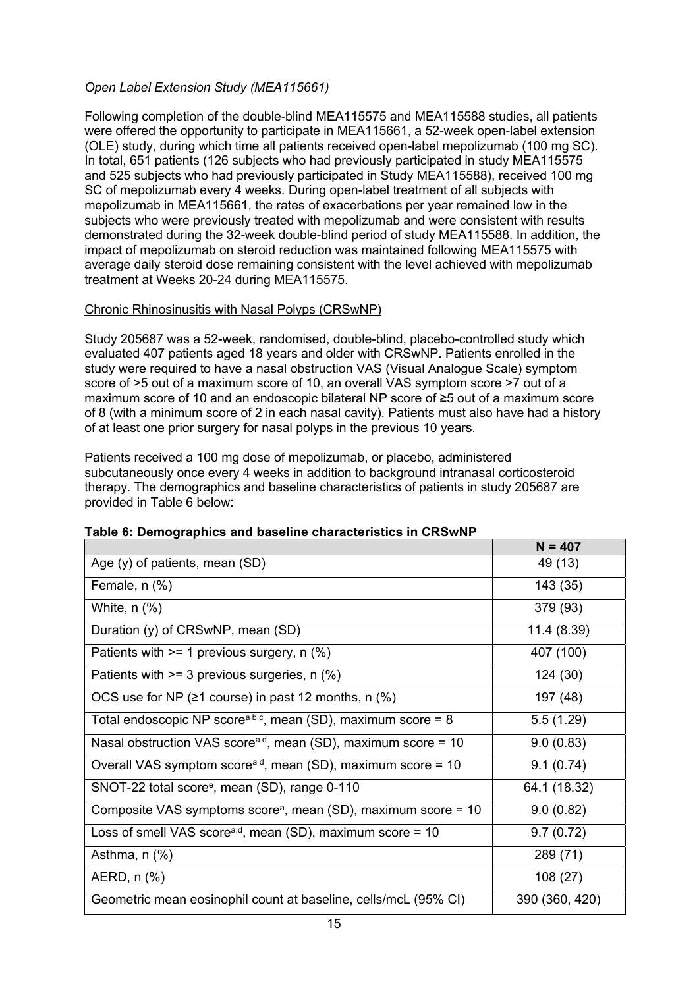## *Open Label Extension Study (MEA115661)*

Following completion of the double-blind MEA115575 and MEA115588 studies, all patients were offered the opportunity to participate in MEA115661, a 52-week open-label extension (OLE) study, during which time all patients received open-label mepolizumab (100 mg SC). In total, 651 patients (126 subjects who had previously participated in study MEA115575 and 525 subjects who had previously participated in Study MEA115588), received 100 mg SC of mepolizumab every 4 weeks. During open-label treatment of all subjects with mepolizumab in MEA115661, the rates of exacerbations per year remained low in the subjects who were previously treated with mepolizumab and were consistent with results demonstrated during the 32-week double-blind period of study MEA115588. In addition, the impact of mepolizumab on steroid reduction was maintained following MEA115575 with average daily steroid dose remaining consistent with the level achieved with mepolizumab treatment at Weeks 20-24 during MEA115575.

#### Chronic Rhinosinusitis with Nasal Polyps (CRSwNP)

Study 205687 was a 52-week, randomised, double-blind, placebo-controlled study which evaluated 407 patients aged 18 years and older with CRSwNP. Patients enrolled in the study were required to have a nasal obstruction VAS (Visual Analogue Scale) symptom score of >5 out of a maximum score of 10, an overall VAS symptom score >7 out of a maximum score of 10 and an endoscopic bilateral NP score of ≥5 out of a maximum score of 8 (with a minimum score of 2 in each nasal cavity). Patients must also have had a history of at least one prior surgery for nasal polyps in the previous 10 years.

Patients received a 100 mg dose of mepolizumab, or placebo, administered subcutaneously once every 4 weeks in addition to background intranasal corticosteroid therapy. The demographics and baseline characteristics of patients in study 205687 are provided in Table 6 below:

|                                                                            | $N = 407$      |
|----------------------------------------------------------------------------|----------------|
| Age $(y)$ of patients, mean $(SD)$                                         | 49 (13)        |
| Female, $n$ $%$ )                                                          | 143 (35)       |
| White, $n$ $%$ )                                                           | 379 (93)       |
| Duration (y) of CRSwNP, mean (SD)                                          | 11.4 (8.39)    |
| Patients with $>= 1$ previous surgery, n (%)                               | 407 (100)      |
| Patients with $>= 3$ previous surgeries, n $(\%)$                          | 124(30)        |
| OCS use for NP ( $\geq$ 1 course) in past 12 months, n (%)                 | 197 (48)       |
| Total endoscopic NP score <sup>ab c</sup> , mean (SD), maximum score = 8   | 5.5(1.29)      |
| Nasal obstruction VAS score <sup>a d</sup> , mean (SD), maximum score = 10 | 9.0(0.83)      |
| Overall VAS symptom score <sup>ad</sup> , mean (SD), maximum score = 10    | 9.1(0.74)      |
| SNOT-22 total score <sup>e</sup> , mean (SD), range 0-110                  | 64.1 (18.32)   |
| Composite VAS symptoms score <sup>a</sup> , mean (SD), maximum score = 10  | 9.0(0.82)      |
| Loss of smell VAS score <sup>a,d</sup> , mean (SD), maximum score = 10     | 9.7(0.72)      |
| Asthma, $n$ $%$                                                            | 289 (71)       |
| AERD, n (%)                                                                | 108 (27)       |
| Geometric mean eosinophil count at baseline, cells/mcL (95% CI)            | 390 (360, 420) |

## **Table 6: Demographics and baseline characteristics in CRSwNP**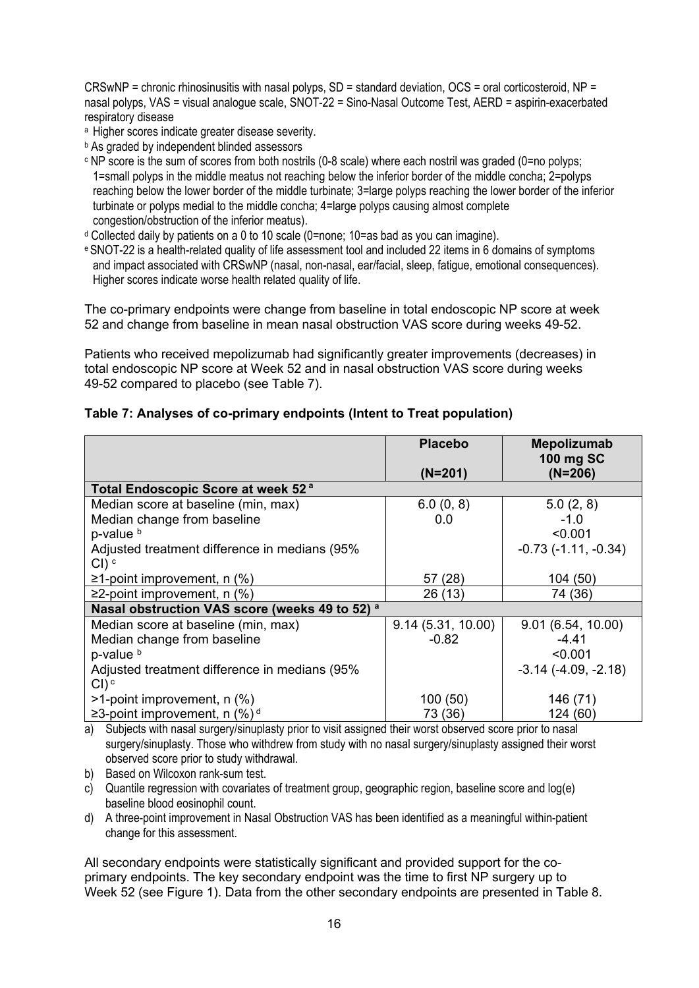CRSwNP = chronic rhinosinusitis with nasal polyps, SD = standard deviation, OCS = oral corticosteroid, NP = nasal polyps, VAS = visual analogue scale, SNOT-22 = Sino-Nasal Outcome Test, AERD = aspirin-exacerbated respiratory disease

- a Higher scores indicate greater disease severity.
- **b** As graded by independent blinded assessors
- c NP score is the sum of scores from both nostrils (0-8 scale) where each nostril was graded (0=no polyps; 1=small polyps in the middle meatus not reaching below the inferior border of the middle concha; 2=polyps reaching below the lower border of the middle turbinate; 3=large polyps reaching the lower border of the inferior turbinate or polyps medial to the middle concha; 4=large polyps causing almost complete congestion/obstruction of the inferior meatus).
- $d$  Collected daily by patients on a 0 to 10 scale (0=none; 10=as bad as you can imagine).
- e SNOT-22 is a health-related quality of life assessment tool and included 22 items in 6 domains of symptoms and impact associated with CRSwNP (nasal, non-nasal, ear/facial, sleep, fatigue, emotional consequences). Higher scores indicate worse health related quality of life.

The co-primary endpoints were change from baseline in total endoscopic NP score at week 52 and change from baseline in mean nasal obstruction VAS score during weeks 49-52.

Patients who received mepolizumab had significantly greater improvements (decreases) in total endoscopic NP score at Week 52 and in nasal obstruction VAS score during weeks 49-52 compared to placebo (see Table 7).

|                                                | <b>Placebo</b>    | Mepolizumab<br>100 mg SC |
|------------------------------------------------|-------------------|--------------------------|
|                                                | (N=201)           | (N=206)                  |
| Total Endoscopic Score at week 52 <sup>a</sup> |                   |                          |
| Median score at baseline (min, max)            | 6.0(0, 8)         | 5.0(2, 8)                |
| Median change from baseline                    | 0.0               | $-1.0$                   |
| p-value <sup>b</sup>                           |                   | < 0.001                  |
| Adjusted treatment difference in medians (95%  |                   | $-0.73$ $(-1.11, -0.34)$ |
| $Cl$ ) $c$                                     |                   |                          |
| $\geq$ 1-point improvement, n (%)              | (28)<br>57        | 104 (50)                 |
| $\geq$ 2-point improvement, n (%)              | 26 (13)           | 74 (36)                  |
| Nasal obstruction VAS score (weeks 49 to 52) a |                   |                          |
| Median score at baseline (min, max)            | 9.14(5.31, 10.00) | 9.01(6.54, 10.00)        |
| Median change from baseline                    | $-0.82$           | $-4.41$                  |
| p-value <sup>b</sup>                           |                   | < 0.001                  |
| Adjusted treatment difference in medians (95%  |                   | $-3.14$ $(-4.09, -2.18)$ |
| $Cl)$ <sup>c</sup>                             |                   |                          |
| $>1$ -point improvement, n $(\%)$              | 100(50)           | 146 (71)                 |
| ≥3-point improvement, n $(\%)$ <sup>d</sup>    | 73 (36)           | 124 (60)                 |

#### **Table 7: Analyses of co-primary endpoints (Intent to Treat population)**

a) Subjects with nasal surgery/sinuplasty prior to visit assigned their worst observed score prior to nasal surgery/sinuplasty. Those who withdrew from study with no nasal surgery/sinuplasty assigned their worst observed score prior to study withdrawal.

b) Based on Wilcoxon rank-sum test.

- c) Quantile regression with covariates of treatment group, geographic region, baseline score and log(e) baseline blood eosinophil count.
- d) A three-point improvement in Nasal Obstruction VAS has been identified as a meaningful within-patient change for this assessment.

All secondary endpoints were statistically significant and provided support for the coprimary endpoints. The key secondary endpoint was the time to first NP surgery up to Week 52 (see Figure 1). Data from the other secondary endpoints are presented in Table 8.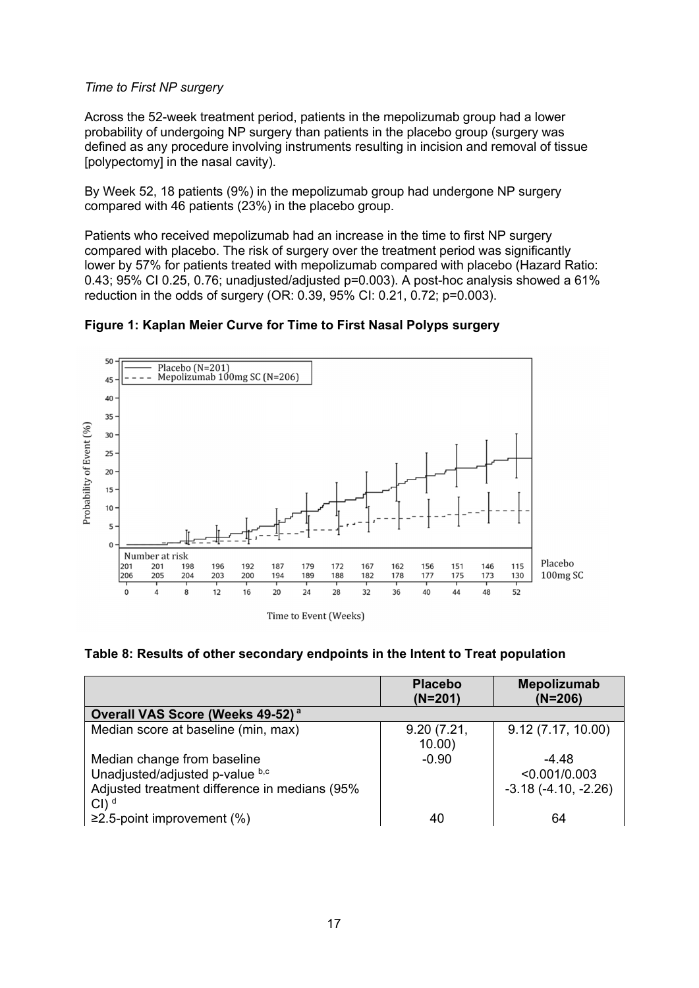### *Time to First NP surgery*

Across the 52-week treatment period, patients in the mepolizumab group had a lower probability of undergoing NP surgery than patients in the placebo group (surgery was defined as any procedure involving instruments resulting in incision and removal of tissue [polypectomy] in the nasal cavity).

By Week 52, 18 patients (9%) in the mepolizumab group had undergone NP surgery compared with 46 patients (23%) in the placebo group.

Patients who received mepolizumab had an increase in the time to first NP surgery compared with placebo. The risk of surgery over the treatment period was significantly lower by 57% for patients treated with mepolizumab compared with placebo (Hazard Ratio: 0.43; 95% CI 0.25, 0.76; unadjusted/adjusted p=0.003). A post-hoc analysis showed a 61% reduction in the odds of surgery (OR: 0.39, 95% CI: 0.21, 0.72; p=0.003).

## **Figure 1: Kaplan Meier Curve for Time to First Nasal Polyps surgery**





|                                                                                                                                    | <b>Placebo</b><br>$(N=201)$ | Mepolizumab<br>$(N=206)$                          |
|------------------------------------------------------------------------------------------------------------------------------------|-----------------------------|---------------------------------------------------|
| Overall VAS Score (Weeks 49-52) <sup>a</sup>                                                                                       |                             |                                                   |
| Median score at baseline (min, max)                                                                                                | 9.20(7.21,<br>10.00         | 9.12(7.17, 10.00)                                 |
| Median change from baseline<br>Unadjusted/adjusted p-value b,c<br>Adjusted treatment difference in medians (95%<br>Cl <sup>d</sup> | $-0.90$                     | $-4.48$<br>< 0.001/0.003<br>$-3.18(-4.10, -2.26)$ |
| ≥2.5-point improvement $(%$                                                                                                        | 40                          | 64                                                |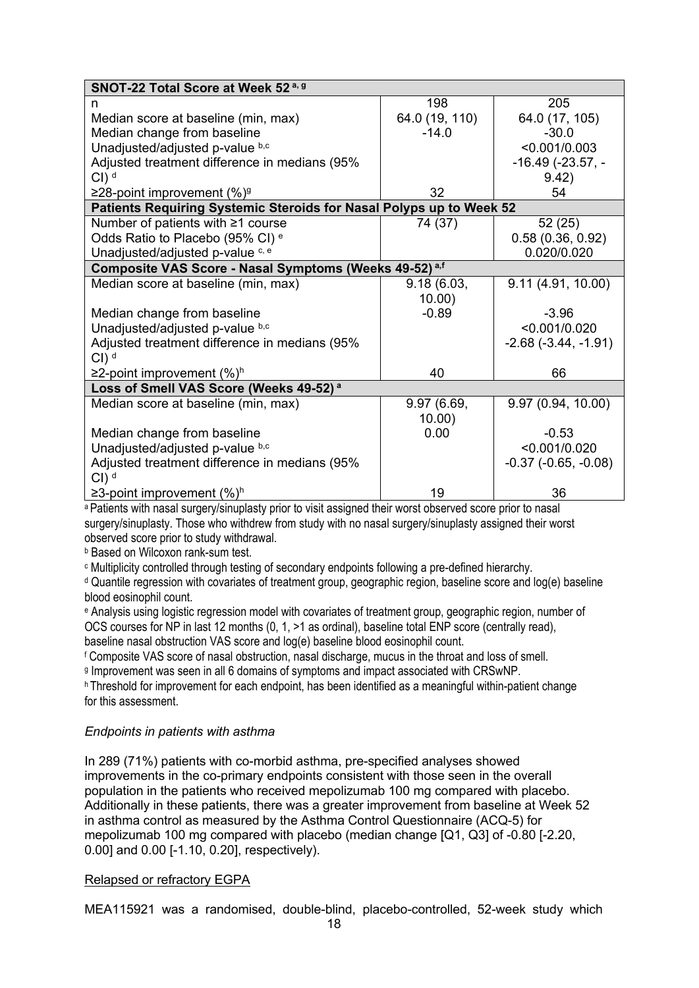| SNOT-22 Total Score at Week 52 <sup>a, g</sup>                      |                |                           |
|---------------------------------------------------------------------|----------------|---------------------------|
| n                                                                   | 198            | 205                       |
| Median score at baseline (min, max)                                 | 64.0 (19, 110) | 64.0 (17, 105)            |
| Median change from baseline                                         | $-14.0$        | $-30.0$                   |
| Unadjusted/adjusted p-value b,c                                     |                | < 0.001/0.003             |
| Adjusted treatment difference in medians (95%                       |                | $-16.49$ ( $-23.57$ , $-$ |
| $Cl)$ <sup>d</sup>                                                  |                | 9.42)                     |
| ≥28-point improvement $(\%)$ <sup>g</sup>                           | 32             | 54                        |
| Patients Requiring Systemic Steroids for Nasal Polyps up to Week 52 |                |                           |
| Number of patients with ≥1 course                                   | 74 (37)        | 52 (25)                   |
| Odds Ratio to Placebo (95% CI) <sup>e</sup>                         |                | 0.58(0.36, 0.92)          |
| Unadjusted/adjusted p-value c, e                                    |                | 0.020/0.020               |
| Composite VAS Score - Nasal Symptoms (Weeks 49-52) <sup>a,f</sup>   |                |                           |
| Median score at baseline (min, max)                                 | 9.18(6.03,     | 9.11(4.91, 10.00)         |
|                                                                     | 10.00)         |                           |
| Median change from baseline                                         | $-0.89$        | $-3.96$                   |
| Unadjusted/adjusted p-value b,c                                     |                | < 0.001/0.020             |
| Adjusted treatment difference in medians (95%                       |                | $-2.68$ $(-3.44, -1.91)$  |
| $Cl$ ) <sup>d</sup>                                                 |                |                           |
| ≥2-point improvement $(\%)^h$                                       | 40             | 66                        |
| Loss of Smell VAS Score (Weeks 49-52) <sup>a</sup>                  |                |                           |
| Median score at baseline (min, max)                                 | 9.97 (6.69,    | 9.97 (0.94, 10.00)        |
|                                                                     | 10.00)         |                           |
| Median change from baseline                                         | 0.00           | $-0.53$                   |
| Unadjusted/adjusted p-value b,c                                     |                | < 0.001/0.020             |
| Adjusted treatment difference in medians (95%                       |                | $-0.37$ $(-0.65, -0.08)$  |
| $Cl$ ) <sup>d</sup>                                                 |                |                           |
| ≥3-point improvement $(\%)^h$                                       | 19             | 36                        |

a Patients with nasal surgery/sinuplasty prior to visit assigned their worst observed score prior to nasal surgery/sinuplasty. Those who withdrew from study with no nasal surgery/sinuplasty assigned their worst observed score prior to study withdrawal.

b Based on Wilcoxon rank-sum test.

c Multiplicity controlled through testing of secondary endpoints following a pre-defined hierarchy.

d Quantile regression with covariates of treatment group, geographic region, baseline score and log(e) baseline blood eosinophil count.

e Analysis using logistic regression model with covariates of treatment group, geographic region, number of OCS courses for NP in last 12 months (0, 1, >1 as ordinal), baseline total ENP score (centrally read), baseline nasal obstruction VAS score and log(e) baseline blood eosinophil count.

f Composite VAS score of nasal obstruction, nasal discharge, mucus in the throat and loss of smell. g Improvement was seen in all 6 domains of symptoms and impact associated with CRSwNP.

h Threshold for improvement for each endpoint, has been identified as a meaningful within-patient change for this assessment.

## *Endpoints in patients with asthma*

In 289 (71%) patients with co-morbid asthma, pre-specified analyses showed improvements in the co-primary endpoints consistent with those seen in the overall population in the patients who received mepolizumab 100 mg compared with placebo. Additionally in these patients, there was a greater improvement from baseline at Week 52 in asthma control as measured by the Asthma Control Questionnaire (ACQ-5) for mepolizumab 100 mg compared with placebo (median change [Q1, Q3] of -0.80 [-2.20, 0.00] and 0.00 [-1.10, 0.20], respectively).

#### Relapsed or refractory EGPA

MEA115921 was a randomised, double-blind, placebo-controlled, 52-week study which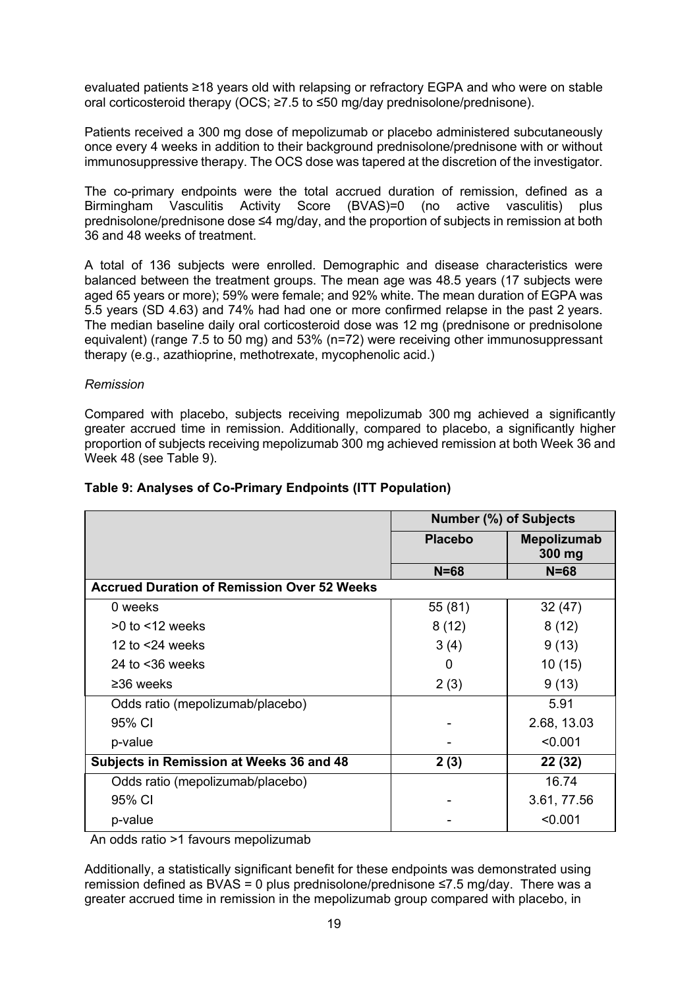evaluated patients ≥18 years old with relapsing or refractory EGPA and who were on stable oral corticosteroid therapy (OCS; ≥7.5 to ≤50 mg/day prednisolone/prednisone).

Patients received a 300 mg dose of mepolizumab or placebo administered subcutaneously once every 4 weeks in addition to their background prednisolone/prednisone with or without immunosuppressive therapy. The OCS dose was tapered at the discretion of the investigator.

The co-primary endpoints were the total accrued duration of remission, defined as a Birmingham Vasculitis Activity Score (BVAS)=0 (no active vasculitis) plus prednisolone/prednisone dose ≤4 mg/day, and the proportion of subjects in remission at both 36 and 48 weeks of treatment.

A total of 136 subjects were enrolled. Demographic and disease characteristics were balanced between the treatment groups. The mean age was 48.5 years (17 subjects were aged 65 years or more); 59% were female; and 92% white. The mean duration of EGPA was 5.5 years (SD 4.63) and 74% had had one or more confirmed relapse in the past 2 years. The median baseline daily oral corticosteroid dose was 12 mg (prednisone or prednisolone equivalent) (range 7.5 to 50 mg) and 53% (n=72) were receiving other immunosuppressant therapy (e.g., azathioprine, methotrexate, mycophenolic acid.)

#### *Remission*

Compared with placebo, subjects receiving mepolizumab 300 mg achieved a significantly greater accrued time in remission. Additionally, compared to placebo, a significantly higher proportion of subjects receiving mepolizumab 300 mg achieved remission at both Week 36 and Week 48 (see Table 9).

|                                                    | <b>Number (%) of Subjects</b> |                              |
|----------------------------------------------------|-------------------------------|------------------------------|
|                                                    | <b>Placebo</b>                | <b>Mepolizumab</b><br>300 mg |
|                                                    | $N = 68$                      | $N = 68$                     |
| <b>Accrued Duration of Remission Over 52 Weeks</b> |                               |                              |
| 0 weeks                                            | 55 (81)                       | 32(47)                       |
| $>0$ to $<$ 12 weeks                               | 8(12)                         | 8(12)                        |
| 12 to $<$ 24 weeks                                 | 3(4)                          | 9(13)                        |
| 24 to $<$ 36 weeks                                 | 0                             | 10(15)                       |
| $\geq$ 36 weeks                                    | 2(3)                          | 9(13)                        |
| Odds ratio (mepolizumab/placebo)                   |                               | 5.91                         |
| 95% CI                                             |                               | 2.68, 13.03                  |
| p-value                                            |                               | < 0.001                      |
| Subjects in Remission at Weeks 36 and 48           | 2(3)                          | 22 (32)                      |
| Odds ratio (mepolizumab/placebo)                   |                               | 16.74                        |
| 95% CI                                             |                               | 3.61, 77.56                  |
| p-value                                            |                               | < 0.001                      |

#### **Table 9: Analyses of Co-Primary Endpoints (ITT Population)**

An odds ratio >1 favours mepolizumab

Additionally, a statistically significant benefit for these endpoints was demonstrated using remission defined as BVAS = 0 plus prednisolone/prednisone ≤7.5 mg/day.There was a greater accrued time in remission in the mepolizumab group compared with placebo, in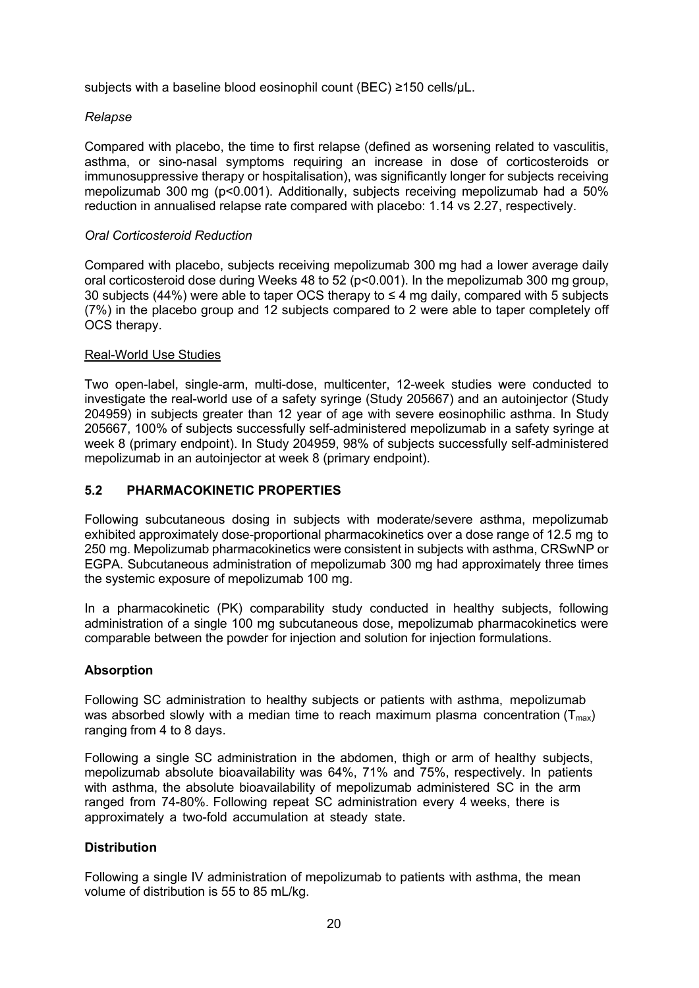subjects with a baseline blood eosinophil count (BEC) ≥150 cells/uL.

## *Relapse*

Compared with placebo, the time to first relapse (defined as worsening related to vasculitis, asthma, or sino-nasal symptoms requiring an increase in dose of corticosteroids or immunosuppressive therapy or hospitalisation), was significantly longer for subjects receiving mepolizumab 300 mg (p<0.001). Additionally, subjects receiving mepolizumab had a 50% reduction in annualised relapse rate compared with placebo: 1.14 vs 2.27, respectively.

### *Oral Corticosteroid Reduction*

Compared with placebo, subjects receiving mepolizumab 300 mg had a lower average daily oral corticosteroid dose during Weeks 48 to 52 (p<0.001). In the mepolizumab 300 mg group, 30 subjects (44%) were able to taper OCS therapy to  $\leq$  4 mg daily, compared with 5 subjects (7%) in the placebo group and 12 subjects compared to 2 were able to taper completely off OCS therapy.

## Real-World Use Studies

Two open-label, single-arm, multi-dose, multicenter, 12-week studies were conducted to investigate the real-world use of a safety syringe (Study 205667) and an autoinjector (Study 204959) in subjects greater than 12 year of age with severe eosinophilic asthma. In Study 205667, 100% of subjects successfully self-administered mepolizumab in a safety syringe at week 8 (primary endpoint). In Study 204959, 98% of subjects successfully self-administered mepolizumab in an autoinjector at week 8 (primary endpoint).

## **5.2 PHARMACOKINETIC PROPERTIES**

Following subcutaneous dosing in subjects with moderate/severe asthma, mepolizumab exhibited approximately dose-proportional pharmacokinetics over a dose range of 12.5 mg to 250 mg. Mepolizumab pharmacokinetics were consistent in subjects with asthma, CRSwNP or EGPA. Subcutaneous administration of mepolizumab 300 mg had approximately three times the systemic exposure of mepolizumab 100 mg.

In a pharmacokinetic (PK) comparability study conducted in healthy subjects, following administration of a single 100 mg subcutaneous dose, mepolizumab pharmacokinetics were comparable between the powder for injection and solution for injection formulations.

## **Absorption**

Following SC administration to healthy subjects or patients with asthma, mepolizumab was absorbed slowly with a median time to reach maximum plasma concentration  $(T_{max})$ ranging from 4 to 8 days.

Following a single SC administration in the abdomen, thigh or arm of healthy subjects, mepolizumab absolute bioavailability was 64%, 71% and 75%, respectively. In patients with asthma, the absolute bioavailability of mepolizumab administered SC in the arm ranged from 74-80%. Following repeat SC administration every 4 weeks, there is approximately a two-fold accumulation at steady state.

#### **Distribution**

Following a single IV administration of mepolizumab to patients with asthma, the mean volume of distribution is 55 to 85 mL/kg.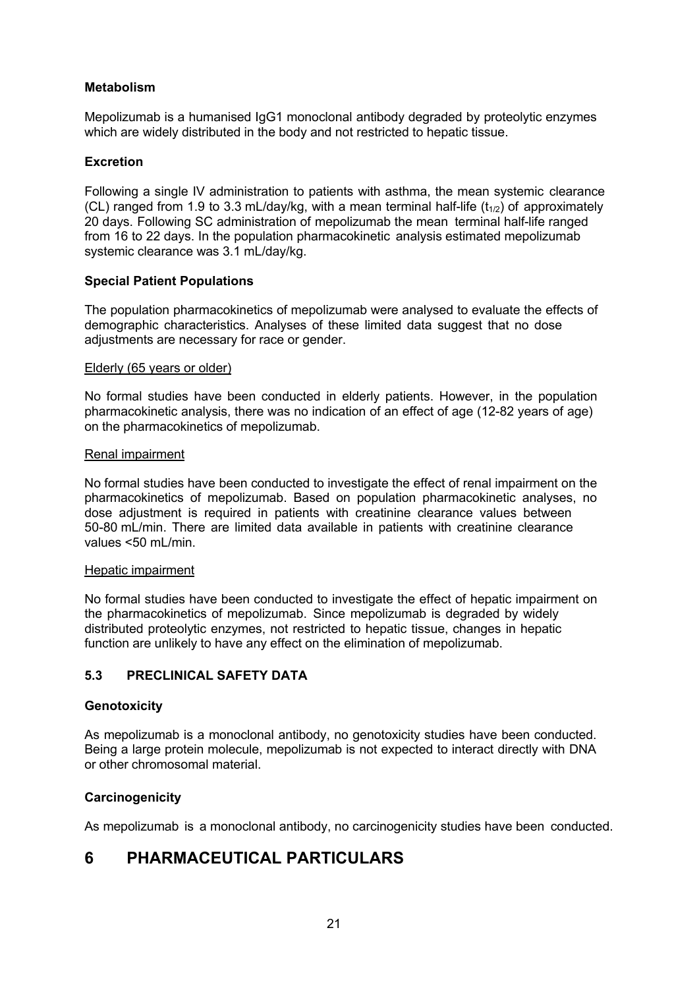## **Metabolism**

Mepolizumab is a humanised IgG1 monoclonal antibody degraded by proteolytic enzymes which are widely distributed in the body and not restricted to hepatic tissue.

#### **Excretion**

Following a single IV administration to patients with asthma, the mean systemic clearance (CL) ranged from 1.9 to 3.3 mL/day/kg, with a mean terminal half-life  $(t_{1/2})$  of approximately 20 days. Following SC administration of mepolizumab the mean terminal half-life ranged from 16 to 22 days. In the population pharmacokinetic analysis estimated mepolizumab systemic clearance was 3.1 mL/day/kg.

#### **Special Patient Populations**

The population pharmacokinetics of mepolizumab were analysed to evaluate the effects of demographic characteristics. Analyses of these limited data suggest that no dose adjustments are necessary for race or gender.

#### Elderly (65 years or older)

No formal studies have been conducted in elderly patients. However, in the population pharmacokinetic analysis, there was no indication of an effect of age (12-82 years of age) on the pharmacokinetics of mepolizumab.

#### Renal impairment

No formal studies have been conducted to investigate the effect of renal impairment on the pharmacokinetics of mepolizumab. Based on population pharmacokinetic analyses, no dose adjustment is required in patients with creatinine clearance values between 50-80 mL/min. There are limited data available in patients with creatinine clearance values <50 mL/min.

#### Hepatic impairment

No formal studies have been conducted to investigate the effect of hepatic impairment on the pharmacokinetics of mepolizumab. Since mepolizumab is degraded by widely distributed proteolytic enzymes, not restricted to hepatic tissue, changes in hepatic function are unlikely to have any effect on the elimination of mepolizumab.

## **5.3 PRECLINICAL SAFETY DATA**

#### **Genotoxicity**

As mepolizumab is a monoclonal antibody, no genotoxicity studies have been conducted. Being a large protein molecule, mepolizumab is not expected to interact directly with DNA or other chromosomal material.

#### **Carcinogenicity**

As mepolizumab is a monoclonal antibody, no carcinogenicity studies have been conducted.

## **6 PHARMACEUTICAL PARTICULARS**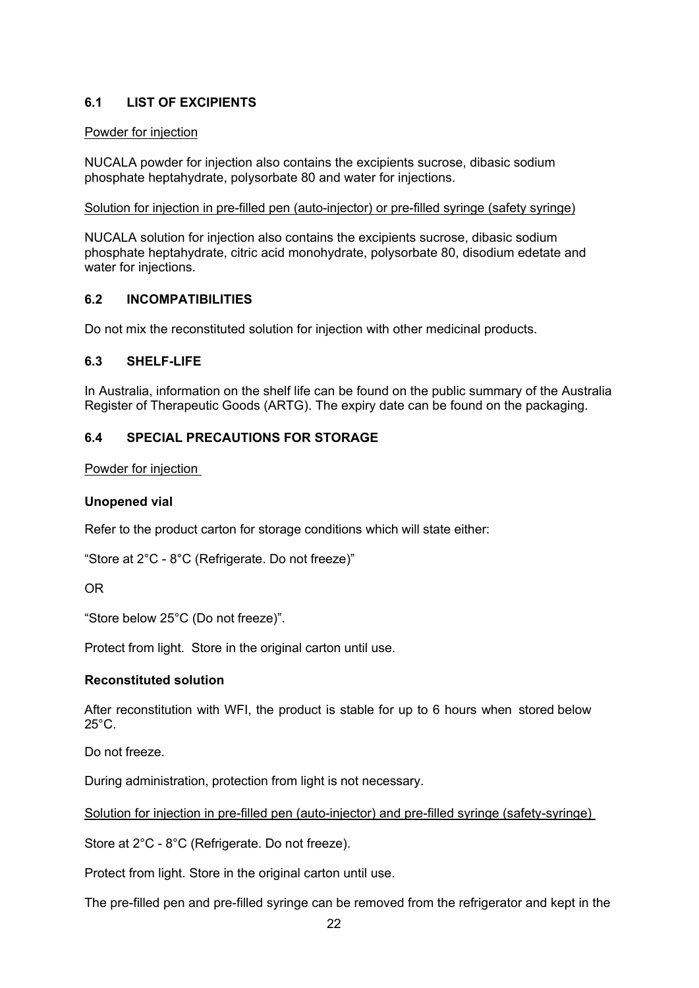## **6.1 LIST OF EXCIPIENTS**

#### Powder for injection

NUCALA powder for injection also contains the excipients sucrose, dibasic sodium phosphate heptahydrate, polysorbate 80 and water for injections.

#### Solution for injection in pre-filled pen (auto-injector) or pre-filled syringe (safety syringe)

NUCALA solution for injection also contains the excipients sucrose, dibasic sodium phosphate heptahydrate, citric acid monohydrate, polysorbate 80, disodium edetate and water for injections.

#### **6.2 INCOMPATIBILITIES**

Do not mix the reconstituted solution for injection with other medicinal products.

#### **6.3 SHELF-LIFE**

In Australia, information on the shelf life can be found on the public summary of the Australia Register of Therapeutic Goods (ARTG). The expiry date can be found on the packaging.

## **6.4 SPECIAL PRECAUTIONS FOR STORAGE**

Powder for injection

#### **Unopened vial**

Refer to the product carton for storage conditions which will state either:

"Store at 2°C - 8°C (Refrigerate. Do not freeze)"

#### OR

"Store below 25°C (Do not freeze)".

Protect from light. Store in the original carton until use.

#### **Reconstituted solution**

After reconstitution with WFI, the product is stable for up to 6 hours when stored below 25°C.

Do not freeze.

During administration, protection from light is not necessary.

Solution for injection in pre-filled pen (auto-injector) and pre-filled syringe (safety-syringe)

Store at 2°C - 8°C (Refrigerate. Do not freeze).

Protect from light. Store in the original carton until use.

The pre-filled pen and pre-filled syringe can be removed from the refrigerator and kept in the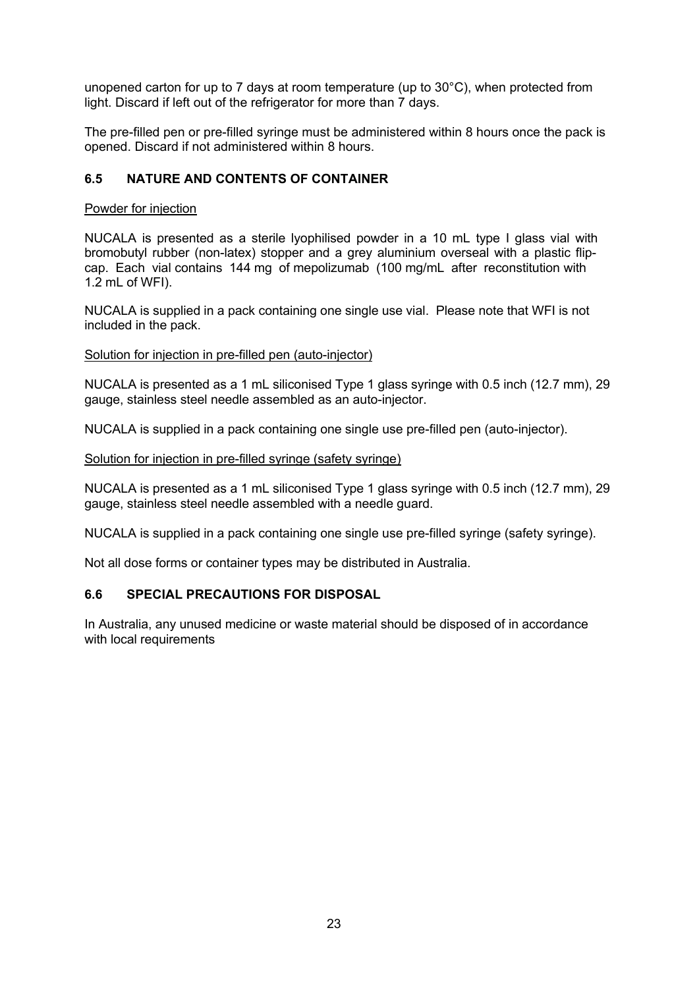unopened carton for up to 7 days at room temperature (up to 30°C), when protected from light. Discard if left out of the refrigerator for more than 7 days.

The pre-filled pen or pre-filled syringe must be administered within 8 hours once the pack is opened. Discard if not administered within 8 hours.

## **6.5 NATURE AND CONTENTS OF CONTAINER**

#### Powder for injection

NUCALA is presented as a sterile lyophilised powder in a 10 mL type I glass vial with bromobutyl rubber (non-latex) stopper and a grey aluminium overseal with a plastic flipcap. Each vial contains 144 mg of mepolizumab (100 mg/mL after reconstitution with 1.2 mL of WFI).

NUCALA is supplied in a pack containing one single use vial. Please note that WFI is not included in the pack.

Solution for injection in pre-filled pen (auto-injector)

NUCALA is presented as a 1 mL siliconised Type 1 glass syringe with 0.5 inch (12.7 mm), 29 gauge, stainless steel needle assembled as an auto-injector.

NUCALA is supplied in a pack containing one single use pre-filled pen (auto-injector).

#### Solution for injection in pre-filled syringe (safety syringe)

NUCALA is presented as a 1 mL siliconised Type 1 glass syringe with 0.5 inch (12.7 mm), 29 gauge, stainless steel needle assembled with a needle guard.

NUCALA is supplied in a pack containing one single use pre-filled syringe (safety syringe).

Not all dose forms or container types may be distributed in Australia.

#### **6.6 SPECIAL PRECAUTIONS FOR DISPOSAL**

In Australia, any unused medicine or waste material should be disposed of in accordance with local requirements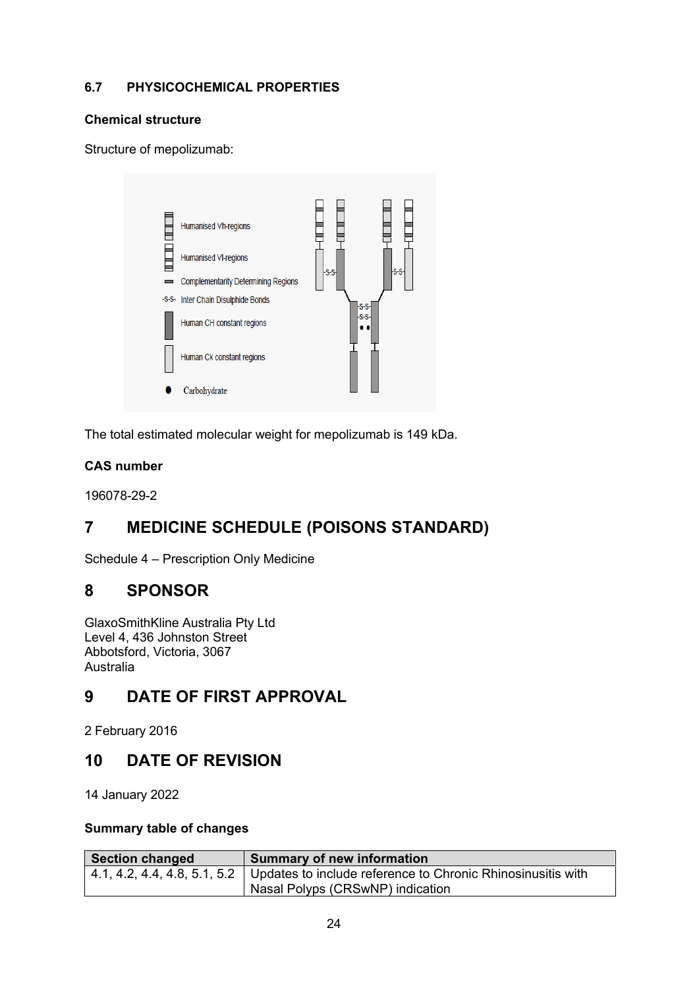## **6.7 PHYSICOCHEMICAL PROPERTIES**

## **Chemical structure**

Structure of mepolizumab:



The total estimated molecular weight for mepolizumab is 149 kDa.

## **CAS number**

196078-29-2

# **7 MEDICINE SCHEDULE (POISONS STANDARD)**

Schedule 4 – Prescription Only Medicine

# **8 SPONSOR**

GlaxoSmithKline Australia Pty Ltd Level 4, 436 Johnston Street Abbotsford, Victoria, 3067 Australia

# **9 DATE OF FIRST APPROVAL**

2 February 2016

# **10 DATE OF REVISION**

14 January 2022

### **Summary table of changes**

| Section changed | <b>Summary of new information</b>                                                                      |
|-----------------|--------------------------------------------------------------------------------------------------------|
|                 | $\mid$ 4.1, 4.2, 4.4, 4.8, 5.1, 5.2 $\mid$ Updates to include reference to Chronic Rhinosinusitis with |
|                 | Nasal Polyps (CRSwNP) indication                                                                       |